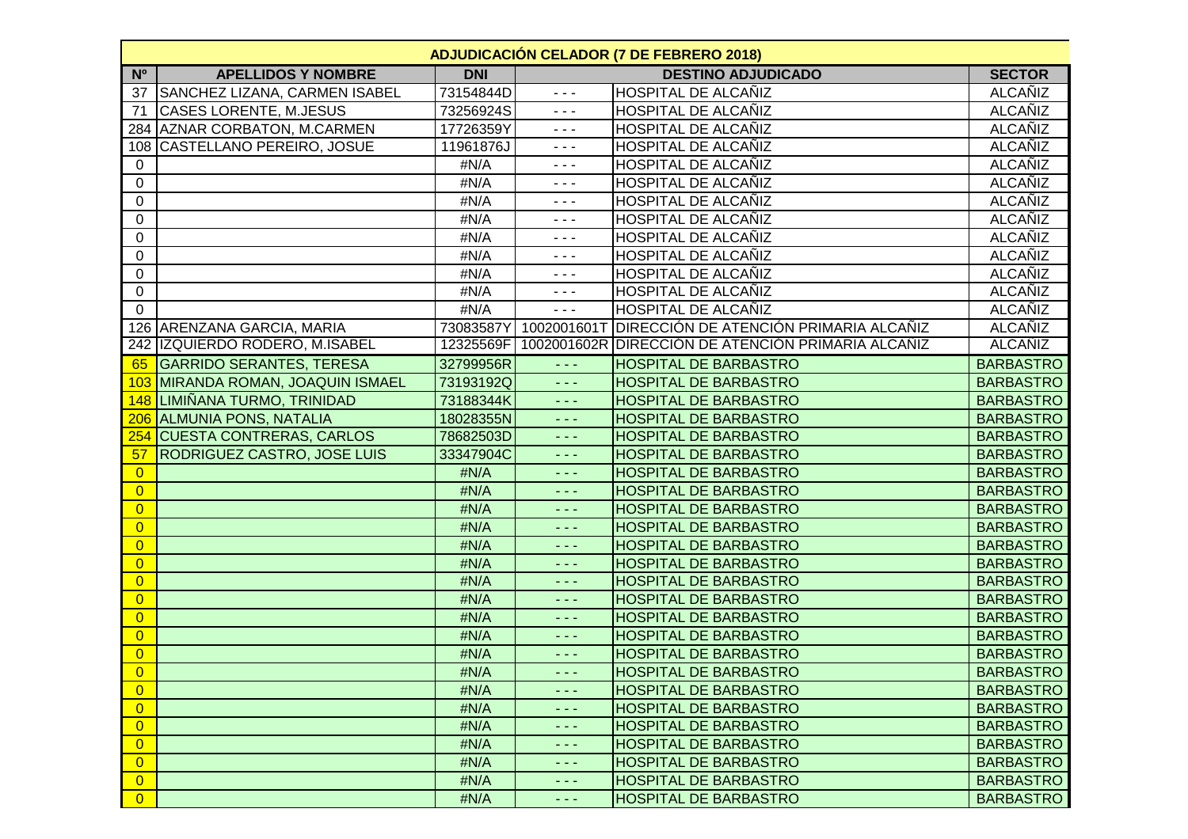|                | <b>ADJUDICACIÓN CELADOR (7 DE FEBRERO 2018)</b> |            |                                                                                                                                                                                                                                                                                                                                                                                              |                                                    |                  |  |  |
|----------------|-------------------------------------------------|------------|----------------------------------------------------------------------------------------------------------------------------------------------------------------------------------------------------------------------------------------------------------------------------------------------------------------------------------------------------------------------------------------------|----------------------------------------------------|------------------|--|--|
| N <sup>o</sup> | <b>APELLIDOS Y NOMBRE</b>                       | <b>DNI</b> |                                                                                                                                                                                                                                                                                                                                                                                              | <b>DESTINO ADJUDICADO</b>                          | <b>SECTOR</b>    |  |  |
| 37             | SANCHEZ LIZANA, CARMEN ISABEL                   | 73154844D  | $- - -$                                                                                                                                                                                                                                                                                                                                                                                      | <b>HOSPITAL DE ALCAÑIZ</b>                         | ALCAÑIZ          |  |  |
| 71             | <b>CASES LORENTE, M.JESUS</b>                   | 73256924S  | $  -$                                                                                                                                                                                                                                                                                                                                                                                        | <b>HOSPITAL DE ALCAÑIZ</b>                         | <b>ALCAÑIZ</b>   |  |  |
|                | 284 AZNAR CORBATON, M.CARMEN                    | 17726359Y  | $- - -$                                                                                                                                                                                                                                                                                                                                                                                      | <b>HOSPITAL DE ALCAÑIZ</b>                         | <b>ALCAÑIZ</b>   |  |  |
|                | 108 CASTELLANO PEREIRO, JOSUE                   | 11961876J  | $- - -$                                                                                                                                                                                                                                                                                                                                                                                      | <b>HOSPITAL DE ALCAÑIZ</b>                         | <b>ALCAÑIZ</b>   |  |  |
| 0              |                                                 | #N/A       | $- - -$                                                                                                                                                                                                                                                                                                                                                                                      | <b>HOSPITAL DE ALCAÑIZ</b>                         | <b>ALCAÑIZ</b>   |  |  |
| $\mathbf 0$    |                                                 | #N/A       | $- - -$                                                                                                                                                                                                                                                                                                                                                                                      | <b>HOSPITAL DE ALCAÑIZ</b>                         | <b>ALCAÑIZ</b>   |  |  |
| 0              |                                                 | #N/A       | - - -                                                                                                                                                                                                                                                                                                                                                                                        | <b>HOSPITAL DE ALCAÑIZ</b>                         | <b>ALCAÑIZ</b>   |  |  |
| 0              |                                                 | #N/A       | $- - -$                                                                                                                                                                                                                                                                                                                                                                                      | <b>HOSPITAL DE ALCAÑIZ</b>                         | <b>ALCAÑIZ</b>   |  |  |
| 0              |                                                 | #N/A       | $  -$                                                                                                                                                                                                                                                                                                                                                                                        | <b>HOSPITAL DE ALCAÑIZ</b>                         | <b>ALCAÑIZ</b>   |  |  |
| 0              |                                                 | #N/A       | $  -$                                                                                                                                                                                                                                                                                                                                                                                        | <b>HOSPITAL DE ALCAÑIZ</b>                         | <b>ALCAÑIZ</b>   |  |  |
| 0              |                                                 | #N/A       | $- - -$                                                                                                                                                                                                                                                                                                                                                                                      | <b>HOSPITAL DE ALCAÑIZ</b>                         | <b>ALCAÑIZ</b>   |  |  |
| 0              |                                                 | #N/A       | $- - -$                                                                                                                                                                                                                                                                                                                                                                                      | <b>HOSPITAL DE ALCAÑIZ</b>                         | ALCAÑIZ          |  |  |
| $\mathbf{0}$   |                                                 | #N/A       | $  -$                                                                                                                                                                                                                                                                                                                                                                                        | <b>HOSPITAL DE ALCAÑIZ</b>                         | ALCAÑIZ          |  |  |
|                | 126 ARENZANA GARCIA, MARIA                      | 73083587Y  | 1002001601T                                                                                                                                                                                                                                                                                                                                                                                  | <b>DIRECCIÓN DE ATENCIÓN PRIMARIA ALCAÑIZ</b>      | <b>ALCAÑIZ</b>   |  |  |
|                | 242 IZQUIERDO RODERO, M.ISABEL                  | 12325569F  |                                                                                                                                                                                                                                                                                                                                                                                              | 1002001602R DIRECCIÓN DE ATENCIÓN PRIMARIA ALCAÑIZ | <b>ALCANIZ</b>   |  |  |
| 65             | <b>GARRIDO SERANTES, TERESA</b>                 | 32799956R  | $\frac{1}{2} \frac{1}{2} \frac{1}{2} \frac{1}{2} \frac{1}{2} \frac{1}{2} \frac{1}{2} \frac{1}{2} \frac{1}{2} \frac{1}{2} \frac{1}{2} \frac{1}{2} \frac{1}{2} \frac{1}{2} \frac{1}{2} \frac{1}{2} \frac{1}{2} \frac{1}{2} \frac{1}{2} \frac{1}{2} \frac{1}{2} \frac{1}{2} \frac{1}{2} \frac{1}{2} \frac{1}{2} \frac{1}{2} \frac{1}{2} \frac{1}{2} \frac{1}{2} \frac{1}{2} \frac{1}{2} \frac{$ | <b>HOSPITAL DE BARBASTRO</b>                       | <b>BARBASTRO</b> |  |  |
| 103            | MIRANDA ROMAN, JOAQUIN ISMAEL                   | 73193192Q  | $\omega_{\rm{eff}}$                                                                                                                                                                                                                                                                                                                                                                          | <b>HOSPITAL DE BARBASTRO</b>                       | <b>BARBASTRO</b> |  |  |
| <b>148</b>     | LIMIÑANA TURMO, TRINIDAD                        | 73188344K  | $\sim$ $\sim$ $\sim$                                                                                                                                                                                                                                                                                                                                                                         | <b>HOSPITAL DE BARBASTRO</b>                       | <b>BARBASTRO</b> |  |  |
|                | 206 ALMUNIA PONS, NATALIA                       | 18028355N  | $\sim$ $\sim$ $\sim$                                                                                                                                                                                                                                                                                                                                                                         | <b>HOSPITAL DE BARBASTRO</b>                       | <b>BARBASTRO</b> |  |  |
| 254            | <b>CUESTA CONTRERAS, CARLOS</b>                 | 78682503D  | د د د                                                                                                                                                                                                                                                                                                                                                                                        | <b>HOSPITAL DE BARBASTRO</b>                       | <b>BARBASTRO</b> |  |  |
| 57             | <b>RODRIGUEZ CASTRO, JOSE LUIS</b>              | 33347904C  | ---                                                                                                                                                                                                                                                                                                                                                                                          | <b>HOSPITAL DE BARBASTRO</b>                       | <b>BARBASTRO</b> |  |  |
| $\overline{0}$ |                                                 | #N/A       | ---                                                                                                                                                                                                                                                                                                                                                                                          | <b>HOSPITAL DE BARBASTRO</b>                       | <b>BARBASTRO</b> |  |  |
| $\overline{0}$ |                                                 | #N/A       | $\frac{1}{2} \frac{1}{2} \frac{1}{2} \frac{1}{2} \frac{1}{2} \frac{1}{2} \frac{1}{2} \frac{1}{2} \frac{1}{2} \frac{1}{2} \frac{1}{2} \frac{1}{2} \frac{1}{2} \frac{1}{2} \frac{1}{2} \frac{1}{2} \frac{1}{2} \frac{1}{2} \frac{1}{2} \frac{1}{2} \frac{1}{2} \frac{1}{2} \frac{1}{2} \frac{1}{2} \frac{1}{2} \frac{1}{2} \frac{1}{2} \frac{1}{2} \frac{1}{2} \frac{1}{2} \frac{1}{2} \frac{$ | <b>HOSPITAL DE BARBASTRO</b>                       | <b>BARBASTRO</b> |  |  |
| $\overline{0}$ |                                                 | #N/A       | $\sim$ $\sim$ $\sim$                                                                                                                                                                                                                                                                                                                                                                         | <b>HOSPITAL DE BARBASTRO</b>                       | <b>BARBASTRO</b> |  |  |
| $\overline{0}$ |                                                 | #N/A       | 2 a a                                                                                                                                                                                                                                                                                                                                                                                        | <b>HOSPITAL DE BARBASTRO</b>                       | <b>BARBASTRO</b> |  |  |
| $\overline{0}$ |                                                 | #N/A       | $  -$                                                                                                                                                                                                                                                                                                                                                                                        | <b>HOSPITAL DE BARBASTRO</b>                       | <b>BARBASTRO</b> |  |  |
| $\overline{0}$ |                                                 | #N/A       | د د د                                                                                                                                                                                                                                                                                                                                                                                        | <b>HOSPITAL DE BARBASTRO</b>                       | <b>BARBASTRO</b> |  |  |
| $\overline{0}$ |                                                 | #N/A       | $- - -$                                                                                                                                                                                                                                                                                                                                                                                      | <b>HOSPITAL DE BARBASTRO</b>                       | <b>BARBASTRO</b> |  |  |
| $\overline{0}$ |                                                 | #N/A       | ---                                                                                                                                                                                                                                                                                                                                                                                          | <b>HOSPITAL DE BARBASTRO</b>                       | <b>BARBASTRO</b> |  |  |
| $\overline{0}$ |                                                 | #N/A       | $\frac{1}{2} \frac{1}{2} \frac{1}{2} \frac{1}{2} \frac{1}{2} \frac{1}{2} \frac{1}{2} \frac{1}{2} \frac{1}{2} \frac{1}{2} \frac{1}{2} \frac{1}{2} \frac{1}{2} \frac{1}{2} \frac{1}{2} \frac{1}{2} \frac{1}{2} \frac{1}{2} \frac{1}{2} \frac{1}{2} \frac{1}{2} \frac{1}{2} \frac{1}{2} \frac{1}{2} \frac{1}{2} \frac{1}{2} \frac{1}{2} \frac{1}{2} \frac{1}{2} \frac{1}{2} \frac{1}{2} \frac{$ | <b>HOSPITAL DE BARBASTRO</b>                       | <b>BARBASTRO</b> |  |  |
| $\overline{0}$ |                                                 | #N/A       | د د د                                                                                                                                                                                                                                                                                                                                                                                        | <b>HOSPITAL DE BARBASTRO</b>                       | <b>BARBASTRO</b> |  |  |
| $\overline{0}$ |                                                 | #N/A       | $\frac{1}{2} \frac{1}{2} \frac{1}{2} \frac{1}{2} \frac{1}{2} \frac{1}{2} \frac{1}{2} \frac{1}{2} \frac{1}{2} \frac{1}{2} \frac{1}{2} \frac{1}{2} \frac{1}{2} \frac{1}{2} \frac{1}{2} \frac{1}{2} \frac{1}{2} \frac{1}{2} \frac{1}{2} \frac{1}{2} \frac{1}{2} \frac{1}{2} \frac{1}{2} \frac{1}{2} \frac{1}{2} \frac{1}{2} \frac{1}{2} \frac{1}{2} \frac{1}{2} \frac{1}{2} \frac{1}{2} \frac{$ | <b>HOSPITAL DE BARBASTRO</b>                       | <b>BARBASTRO</b> |  |  |
| $\overline{0}$ |                                                 | #N/A       |                                                                                                                                                                                                                                                                                                                                                                                              | <b>HOSPITAL DE BARBASTRO</b>                       | <b>BARBASTRO</b> |  |  |
| $\overline{0}$ |                                                 | #N/A       | د د د                                                                                                                                                                                                                                                                                                                                                                                        | <b>HOSPITAL DE BARBASTRO</b>                       | <b>BARBASTRO</b> |  |  |
| $\overline{0}$ |                                                 | #N/A       | - - -                                                                                                                                                                                                                                                                                                                                                                                        | <b>HOSPITAL DE BARBASTRO</b>                       | <b>BARBASTRO</b> |  |  |
| $\overline{0}$ |                                                 | #N/A       | ---                                                                                                                                                                                                                                                                                                                                                                                          | <b>HOSPITAL DE BARBASTRO</b>                       | <b>BARBASTRO</b> |  |  |
| $\overline{0}$ |                                                 | #N/A       | $\sim$ $\sim$ $\sim$                                                                                                                                                                                                                                                                                                                                                                         | <b>HOSPITAL DE BARBASTRO</b>                       | <b>BARBASTRO</b> |  |  |
| $\overline{0}$ |                                                 | #N/A       | $\sim$ $\sim$ $\sim$                                                                                                                                                                                                                                                                                                                                                                         | <b>HOSPITAL DE BARBASTRO</b>                       | <b>BARBASTRO</b> |  |  |
| $\overline{0}$ |                                                 | #N/A       | - - -                                                                                                                                                                                                                                                                                                                                                                                        | <b>HOSPITAL DE BARBASTRO</b>                       | <b>BARBASTRO</b> |  |  |
| $\overline{0}$ |                                                 | #N/A       | $\sim$ $\sim$ $\sim$                                                                                                                                                                                                                                                                                                                                                                         | <b>HOSPITAL DE BARBASTRO</b>                       | <b>BARBASTRO</b> |  |  |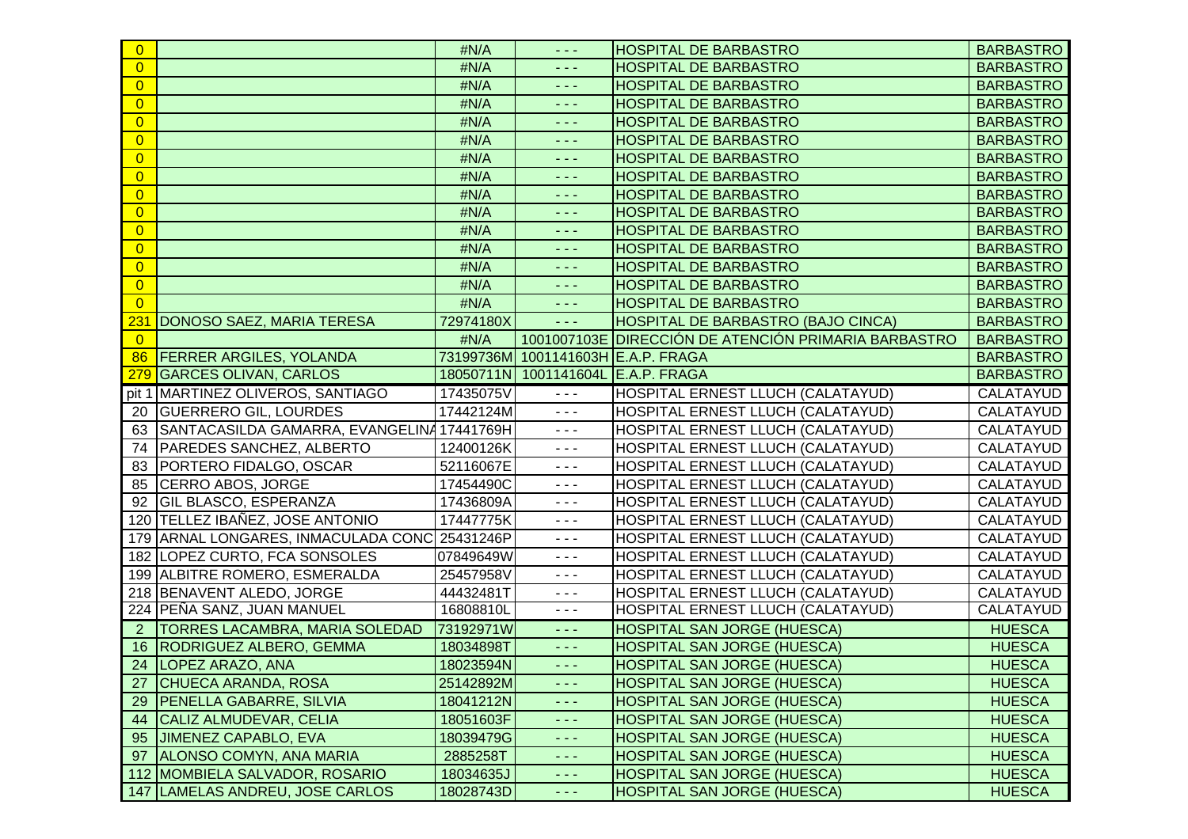| $\overline{0}$ |                                               | #N/A      | د د د                                                                                                                                                                                                                                                                                                                                                                                        | <b>HOSPITAL DE BARBASTRO</b>                         | <b>BARBASTRO</b> |
|----------------|-----------------------------------------------|-----------|----------------------------------------------------------------------------------------------------------------------------------------------------------------------------------------------------------------------------------------------------------------------------------------------------------------------------------------------------------------------------------------------|------------------------------------------------------|------------------|
| $\overline{0}$ |                                               | #N/A      | - - -                                                                                                                                                                                                                                                                                                                                                                                        | <b>HOSPITAL DE BARBASTRO</b>                         | <b>BARBASTRO</b> |
| $\overline{0}$ |                                               | #N/A      | $\sim$ $\sim$ $\sim$                                                                                                                                                                                                                                                                                                                                                                         | HOSPITAL DE BARBASTRO                                | <b>BARBASTRO</b> |
| $\overline{0}$ |                                               | #N/A      | $\sim$ $\sim$ $\sim$                                                                                                                                                                                                                                                                                                                                                                         | <b>HOSPITAL DE BARBASTRO</b>                         | <b>BARBASTRO</b> |
| $\overline{0}$ |                                               | #N/A      | 2 a a                                                                                                                                                                                                                                                                                                                                                                                        | <b>HOSPITAL DE BARBASTRO</b>                         | <b>BARBASTRO</b> |
| $\overline{0}$ |                                               | #N/A      | $  -$                                                                                                                                                                                                                                                                                                                                                                                        | <b>HOSPITAL DE BARBASTRO</b>                         | <b>BARBASTRO</b> |
| $\overline{0}$ |                                               | #N/A      | د د د                                                                                                                                                                                                                                                                                                                                                                                        | <b>HOSPITAL DE BARBASTRO</b>                         | <b>BARBASTRO</b> |
| $\overline{0}$ |                                               | #N/A      | - - -                                                                                                                                                                                                                                                                                                                                                                                        | <b>HOSPITAL DE BARBASTRO</b>                         | <b>BARBASTRO</b> |
| $\overline{0}$ |                                               | #N/A      | $\frac{1}{2} \frac{1}{2} \frac{1}{2} \frac{1}{2} \frac{1}{2} \frac{1}{2} \frac{1}{2} \frac{1}{2} \frac{1}{2} \frac{1}{2} \frac{1}{2} \frac{1}{2} \frac{1}{2} \frac{1}{2} \frac{1}{2} \frac{1}{2} \frac{1}{2} \frac{1}{2} \frac{1}{2} \frac{1}{2} \frac{1}{2} \frac{1}{2} \frac{1}{2} \frac{1}{2} \frac{1}{2} \frac{1}{2} \frac{1}{2} \frac{1}{2} \frac{1}{2} \frac{1}{2} \frac{1}{2} \frac{$ | HOSPITAL DE BARBASTRO                                | <b>BARBASTRO</b> |
| $\overline{0}$ |                                               | #N/A      | $\frac{1}{2} \frac{1}{2} \frac{1}{2} \frac{1}{2} \frac{1}{2} \frac{1}{2} \frac{1}{2} \frac{1}{2} \frac{1}{2} \frac{1}{2} \frac{1}{2} \frac{1}{2} \frac{1}{2} \frac{1}{2} \frac{1}{2} \frac{1}{2} \frac{1}{2} \frac{1}{2} \frac{1}{2} \frac{1}{2} \frac{1}{2} \frac{1}{2} \frac{1}{2} \frac{1}{2} \frac{1}{2} \frac{1}{2} \frac{1}{2} \frac{1}{2} \frac{1}{2} \frac{1}{2} \frac{1}{2} \frac{$ | <b>HOSPITAL DE BARBASTRO</b>                         | <b>BARBASTRO</b> |
| $\overline{0}$ |                                               | #N/A      | $\sim$ $\sim$ $\sim$                                                                                                                                                                                                                                                                                                                                                                         | <b>HOSPITAL DE BARBASTRO</b>                         | <b>BARBASTRO</b> |
| $\overline{0}$ |                                               | #N/A      | د د د                                                                                                                                                                                                                                                                                                                                                                                        | <b>HOSPITAL DE BARBASTRO</b>                         | <b>BARBASTRO</b> |
| $\overline{0}$ |                                               | #N/A      | $  -$                                                                                                                                                                                                                                                                                                                                                                                        | HOSPITAL DE BARBASTRO                                | <b>BARBASTRO</b> |
| $\overline{0}$ |                                               | #N/A      | د د د                                                                                                                                                                                                                                                                                                                                                                                        | <b>HOSPITAL DE BARBASTRO</b>                         | <b>BARBASTRO</b> |
| $\overline{0}$ |                                               | #N/A      | د د د                                                                                                                                                                                                                                                                                                                                                                                        | <b>HOSPITAL DE BARBASTRO</b>                         | <b>BARBASTRO</b> |
| 23'            | DONOSO SAEZ, MARIA TERESA                     | 72974180X | - - -                                                                                                                                                                                                                                                                                                                                                                                        | HOSPITAL DE BARBASTRO (BAJO CINCA)                   | <b>BARBASTRO</b> |
| $\overline{0}$ |                                               | #N/A      |                                                                                                                                                                                                                                                                                                                                                                                              | 1001007103E DIRECCIÓN DE ATENCIÓN PRIMARIA BARBASTRO | <b>BARBASTRO</b> |
| 86             | <b>FERRER ARGILES, YOLANDA</b>                |           | 73199736M 1001141603H E.A.P. FRAGA                                                                                                                                                                                                                                                                                                                                                           |                                                      | <b>BARBASTRO</b> |
|                | 279 GARCES OLIVAN, CARLOS                     |           | 18050711N 1001141604L E.A.P. FRAGA                                                                                                                                                                                                                                                                                                                                                           |                                                      | <b>BARBASTRO</b> |
|                | pit 1 MARTINEZ OLIVEROS, SANTIAGO             | 17435075V | $- - -$                                                                                                                                                                                                                                                                                                                                                                                      | HOSPITAL ERNEST LLUCH (CALATAYUD)                    | <b>CALATAYUD</b> |
| 20             | <b>GUERRERO GIL, LOURDES</b>                  | 17442124M | $- - -$                                                                                                                                                                                                                                                                                                                                                                                      | HOSPITAL ERNEST LLUCH (CALATAYUD)                    | CALATAYUD        |
| 63             | SANTACASILDA GAMARRA, EVANGELINA 17441769H    |           | $  -$                                                                                                                                                                                                                                                                                                                                                                                        | HOSPITAL ERNEST LLUCH (CALATAYUD)                    | CALATAYUD        |
| 74             | PAREDES SANCHEZ, ALBERTO                      | 12400126K | $\frac{1}{2} \frac{1}{2} \frac{1}{2} \frac{1}{2} \frac{1}{2} \frac{1}{2} \frac{1}{2} \frac{1}{2} \frac{1}{2} \frac{1}{2} \frac{1}{2} \frac{1}{2} \frac{1}{2} \frac{1}{2} \frac{1}{2} \frac{1}{2} \frac{1}{2} \frac{1}{2} \frac{1}{2} \frac{1}{2} \frac{1}{2} \frac{1}{2} \frac{1}{2} \frac{1}{2} \frac{1}{2} \frac{1}{2} \frac{1}{2} \frac{1}{2} \frac{1}{2} \frac{1}{2} \frac{1}{2} \frac{$ | HOSPITAL ERNEST LLUCH (CALATAYUD)                    | CALATAYUD        |
| 83             | PORTERO FIDALGO, OSCAR                        | 52116067E | $  -$                                                                                                                                                                                                                                                                                                                                                                                        | HOSPITAL ERNEST LLUCH (CALATAYUD)                    | CALATAYUD        |
| 85             | CERRO ABOS, JORGE                             | 17454490C | $  -$                                                                                                                                                                                                                                                                                                                                                                                        | HOSPITAL ERNEST LLUCH (CALATAYUD)                    | CALATAYUD        |
| 92             | <b>GIL BLASCO, ESPERANZA</b>                  | 17436809A | $  -$                                                                                                                                                                                                                                                                                                                                                                                        | HOSPITAL ERNEST LLUCH (CALATAYUD)                    | CALATAYUD        |
|                | 120 TELLEZ IBAÑEZ, JOSE ANTONIO               | 17447775K | $  -$                                                                                                                                                                                                                                                                                                                                                                                        | HOSPITAL ERNEST LLUCH (CALATAYUD)                    | CALATAYUD        |
|                | 179 ARNAL LONGARES, INMACULADA CONC 25431246P |           | $  -$                                                                                                                                                                                                                                                                                                                                                                                        | HOSPITAL ERNEST LLUCH (CALATAYUD)                    | CALATAYUD        |
|                | 182 LOPEZ CURTO, FCA SONSOLES                 | 07849649W | - - -                                                                                                                                                                                                                                                                                                                                                                                        | HOSPITAL ERNEST LLUCH (CALATAYUD)                    | CALATAYUD        |
|                | 199 ALBITRE ROMERO, ESMERALDA                 | 25457958V | $- - -$                                                                                                                                                                                                                                                                                                                                                                                      | HOSPITAL ERNEST LLUCH (CALATAYUD)                    | CALATAYUD        |
|                | 218 BENAVENT ALEDO, JORGE                     | 44432481T | $  -$                                                                                                                                                                                                                                                                                                                                                                                        | HOSPITAL ERNEST LLUCH (CALATAYUD)                    | CALATAYUD        |
|                | 224 PEÑA SANZ, JUAN MANUEL                    | 16808810L | $\frac{1}{2} \frac{1}{2} \frac{1}{2} \frac{1}{2} \frac{1}{2} \frac{1}{2} \frac{1}{2} \frac{1}{2} \frac{1}{2} \frac{1}{2} \frac{1}{2} \frac{1}{2} \frac{1}{2} \frac{1}{2} \frac{1}{2} \frac{1}{2} \frac{1}{2} \frac{1}{2} \frac{1}{2} \frac{1}{2} \frac{1}{2} \frac{1}{2} \frac{1}{2} \frac{1}{2} \frac{1}{2} \frac{1}{2} \frac{1}{2} \frac{1}{2} \frac{1}{2} \frac{1}{2} \frac{1}{2} \frac{$ | HOSPITAL ERNEST LLUCH (CALATAYUD)                    | CALATAYUD        |
| $\overline{2}$ | <b>TORRES LACAMBRA, MARIA SOLEDAD</b>         | 73192971W | د د د                                                                                                                                                                                                                                                                                                                                                                                        | <b>HOSPITAL SAN JORGE (HUESCA)</b>                   | <b>HUESCA</b>    |
|                | 16   RODRIGUEZ ALBERO, GEMMA                  | 18034898T | $  -$                                                                                                                                                                                                                                                                                                                                                                                        | <b>HOSPITAL SAN JORGE (HUESCA)</b>                   | <b>HUESCA</b>    |
|                | 24   LOPEZ ARAZO, ANA                         | 18023594N | ت ب                                                                                                                                                                                                                                                                                                                                                                                          | <b>HOSPITAL SAN JORGE (HUESCA)</b>                   | <b>HUESCA</b>    |
| 27             | <b>CHUECA ARANDA, ROSA</b>                    | 25142892M | د د د                                                                                                                                                                                                                                                                                                                                                                                        | <b>HOSPITAL SAN JORGE (HUESCA)</b>                   | <b>HUESCA</b>    |
|                | 29   PENELLA GABARRE, SILVIA                  | 18041212N | ---                                                                                                                                                                                                                                                                                                                                                                                          | <b>HOSPITAL SAN JORGE (HUESCA)</b>                   | <b>HUESCA</b>    |
|                | 44 CALIZ ALMUDEVAR, CELIA                     | 18051603F | $\frac{1}{2} \frac{1}{2} \frac{1}{2} \frac{1}{2} \frac{1}{2} \frac{1}{2} \frac{1}{2} \frac{1}{2} \frac{1}{2} \frac{1}{2} \frac{1}{2} \frac{1}{2} \frac{1}{2} \frac{1}{2} \frac{1}{2} \frac{1}{2} \frac{1}{2} \frac{1}{2} \frac{1}{2} \frac{1}{2} \frac{1}{2} \frac{1}{2} \frac{1}{2} \frac{1}{2} \frac{1}{2} \frac{1}{2} \frac{1}{2} \frac{1}{2} \frac{1}{2} \frac{1}{2} \frac{1}{2} \frac{$ | <b>HOSPITAL SAN JORGE (HUESCA)</b>                   | <b>HUESCA</b>    |
|                | 95 JIMENEZ CAPABLO, EVA                       | 18039479G | $\frac{1}{2} \frac{1}{2} \frac{1}{2} \frac{1}{2} \frac{1}{2} \frac{1}{2} \frac{1}{2} \frac{1}{2} \frac{1}{2} \frac{1}{2} \frac{1}{2} \frac{1}{2} \frac{1}{2} \frac{1}{2} \frac{1}{2} \frac{1}{2} \frac{1}{2} \frac{1}{2} \frac{1}{2} \frac{1}{2} \frac{1}{2} \frac{1}{2} \frac{1}{2} \frac{1}{2} \frac{1}{2} \frac{1}{2} \frac{1}{2} \frac{1}{2} \frac{1}{2} \frac{1}{2} \frac{1}{2} \frac{$ | <b>HOSPITAL SAN JORGE (HUESCA)</b>                   | <b>HUESCA</b>    |
|                | 97 ALONSO COMYN, ANA MARIA                    | 2885258T  | - - -                                                                                                                                                                                                                                                                                                                                                                                        | <b>HOSPITAL SAN JORGE (HUESCA)</b>                   | <b>HUESCA</b>    |
|                | 112 MOMBIELA SALVADOR, ROSARIO                | 18034635J | - - -                                                                                                                                                                                                                                                                                                                                                                                        | <b>HOSPITAL SAN JORGE (HUESCA)</b>                   | <b>HUESCA</b>    |
|                | 147 LAMELAS ANDREU, JOSE CARLOS               | 18028743D | $\sim$ $ -$                                                                                                                                                                                                                                                                                                                                                                                  | <b>HOSPITAL SAN JORGE (HUESCA)</b>                   | <b>HUESCA</b>    |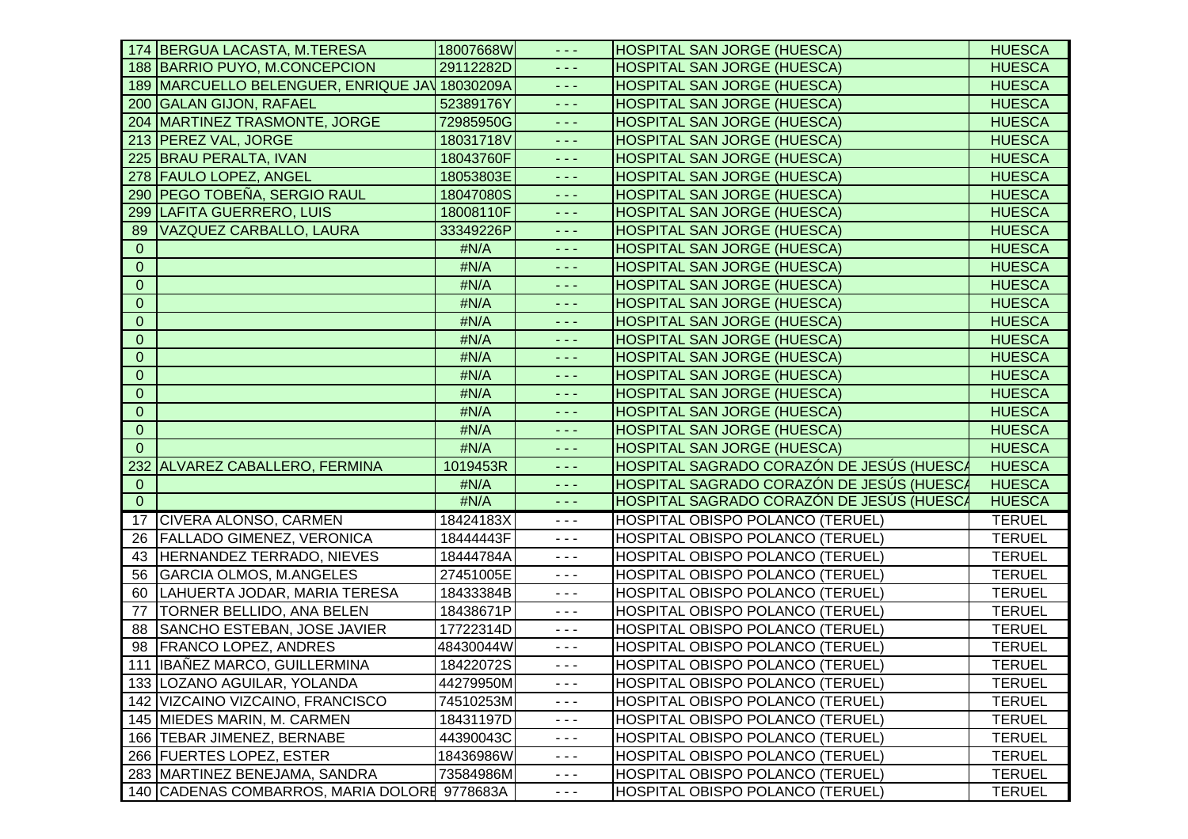|                  | 174 BERGUA LACASTA, M.TERESA                   | 18007668W | - - -                                                                                                                                                                                                                                                                                                                                                                                        | <b>HOSPITAL SAN JORGE (HUESCA)</b>        | <b>HUESCA</b> |
|------------------|------------------------------------------------|-----------|----------------------------------------------------------------------------------------------------------------------------------------------------------------------------------------------------------------------------------------------------------------------------------------------------------------------------------------------------------------------------------------------|-------------------------------------------|---------------|
|                  | 188 BARRIO PUYO, M.CONCEPCION                  | 29112282D | $  -$                                                                                                                                                                                                                                                                                                                                                                                        | <b>HOSPITAL SAN JORGE (HUESCA)</b>        | <b>HUESCA</b> |
|                  | 189 MARCUELLO BELENGUER, ENRIQUE JAY 18030209A |           | $\frac{1}{2} \frac{1}{2} \frac{1}{2} \frac{1}{2} \frac{1}{2} \frac{1}{2} \frac{1}{2} \frac{1}{2} \frac{1}{2} \frac{1}{2} \frac{1}{2} \frac{1}{2} \frac{1}{2} \frac{1}{2} \frac{1}{2} \frac{1}{2} \frac{1}{2} \frac{1}{2} \frac{1}{2} \frac{1}{2} \frac{1}{2} \frac{1}{2} \frac{1}{2} \frac{1}{2} \frac{1}{2} \frac{1}{2} \frac{1}{2} \frac{1}{2} \frac{1}{2} \frac{1}{2} \frac{1}{2} \frac{$ | <b>HOSPITAL SAN JORGE (HUESCA)</b>        | <b>HUESCA</b> |
|                  | 200 GALAN GIJON, RAFAEL                        | 52389176Y | $  -$                                                                                                                                                                                                                                                                                                                                                                                        | <b>HOSPITAL SAN JORGE (HUESCA)</b>        | <b>HUESCA</b> |
|                  | 204   MARTINEZ TRASMONTE, JORGE                | 72985950G | $  -$                                                                                                                                                                                                                                                                                                                                                                                        | HOSPITAL SAN JORGE (HUESCA)               | <b>HUESCA</b> |
|                  | 213 PEREZ VAL, JORGE                           | 18031718V | $\sim$ $\sim$ $\sim$                                                                                                                                                                                                                                                                                                                                                                         | HOSPITAL SAN JORGE (HUESCA)               | <b>HUESCA</b> |
|                  | 225 BRAU PERALTA, IVAN                         | 18043760F | $\omega_{\rm{eff}}$ and $\omega_{\rm{eff}}$                                                                                                                                                                                                                                                                                                                                                  | HOSPITAL SAN JORGE (HUESCA)               | <b>HUESCA</b> |
|                  | 278 FAULO LOPEZ, ANGEL                         | 18053803E | د د د                                                                                                                                                                                                                                                                                                                                                                                        | <b>HOSPITAL SAN JORGE (HUESCA)</b>        | <b>HUESCA</b> |
|                  | 290 PEGO TOBEÑA, SERGIO RAUL                   | 18047080S | $\frac{1}{2} \frac{1}{2} \frac{1}{2} \frac{1}{2} \frac{1}{2} \frac{1}{2} \frac{1}{2} \frac{1}{2} \frac{1}{2} \frac{1}{2} \frac{1}{2} \frac{1}{2} \frac{1}{2} \frac{1}{2} \frac{1}{2} \frac{1}{2} \frac{1}{2} \frac{1}{2} \frac{1}{2} \frac{1}{2} \frac{1}{2} \frac{1}{2} \frac{1}{2} \frac{1}{2} \frac{1}{2} \frac{1}{2} \frac{1}{2} \frac{1}{2} \frac{1}{2} \frac{1}{2} \frac{1}{2} \frac{$ | <b>HOSPITAL SAN JORGE (HUESCA)</b>        | <b>HUESCA</b> |
|                  | 299 LAFITA GUERRERO, LUIS                      | 18008110F | $\sim$ $\sim$ $\sim$                                                                                                                                                                                                                                                                                                                                                                         | <b>HOSPITAL SAN JORGE (HUESCA)</b>        | <b>HUESCA</b> |
| 89               | <b>VAZQUEZ CARBALLO, LAURA</b>                 | 33349226P | $\sim$ $\sim$ $\sim$                                                                                                                                                                                                                                                                                                                                                                         | <b>HOSPITAL SAN JORGE (HUESCA)</b>        | <b>HUESCA</b> |
| $\mathbf{0}$     |                                                | #N/A      | $\omega_{\rm{eff}}$ and $\omega_{\rm{eff}}$                                                                                                                                                                                                                                                                                                                                                  | <b>HOSPITAL SAN JORGE (HUESCA)</b>        | <b>HUESCA</b> |
| $\overline{0}$   |                                                | #N/A      | $\frac{1}{2} \frac{1}{2} \frac{1}{2} \frac{1}{2} \frac{1}{2} \frac{1}{2} \frac{1}{2} \frac{1}{2} \frac{1}{2} \frac{1}{2} \frac{1}{2} \frac{1}{2} \frac{1}{2} \frac{1}{2} \frac{1}{2} \frac{1}{2} \frac{1}{2} \frac{1}{2} \frac{1}{2} \frac{1}{2} \frac{1}{2} \frac{1}{2} \frac{1}{2} \frac{1}{2} \frac{1}{2} \frac{1}{2} \frac{1}{2} \frac{1}{2} \frac{1}{2} \frac{1}{2} \frac{1}{2} \frac{$ | HOSPITAL SAN JORGE (HUESCA)               | <b>HUESCA</b> |
| $\overline{0}$   |                                                | #N/A      | $\omega_{\rm{eff}}$ and $\omega_{\rm{eff}}$                                                                                                                                                                                                                                                                                                                                                  | <b>HOSPITAL SAN JORGE (HUESCA)</b>        | <b>HUESCA</b> |
| $\overline{0}$   |                                                | #N/A      | د د د                                                                                                                                                                                                                                                                                                                                                                                        | HOSPITAL SAN JORGE (HUESCA)               | <b>HUESCA</b> |
| $\overline{0}$   |                                                | #N/A      | $\frac{1}{2} \frac{1}{2} \frac{1}{2} \frac{1}{2} \frac{1}{2} \frac{1}{2} \frac{1}{2} \frac{1}{2} \frac{1}{2} \frac{1}{2} \frac{1}{2} \frac{1}{2} \frac{1}{2} \frac{1}{2} \frac{1}{2} \frac{1}{2} \frac{1}{2} \frac{1}{2} \frac{1}{2} \frac{1}{2} \frac{1}{2} \frac{1}{2} \frac{1}{2} \frac{1}{2} \frac{1}{2} \frac{1}{2} \frac{1}{2} \frac{1}{2} \frac{1}{2} \frac{1}{2} \frac{1}{2} \frac{$ | HOSPITAL SAN JORGE (HUESCA)               | <b>HUESCA</b> |
| $\mathbf{0}$     |                                                | #N/A      | $\frac{1}{2} \frac{1}{2} \frac{1}{2} \frac{1}{2} \frac{1}{2} \frac{1}{2} \frac{1}{2} \frac{1}{2} \frac{1}{2} \frac{1}{2} \frac{1}{2} \frac{1}{2} \frac{1}{2} \frac{1}{2} \frac{1}{2} \frac{1}{2} \frac{1}{2} \frac{1}{2} \frac{1}{2} \frac{1}{2} \frac{1}{2} \frac{1}{2} \frac{1}{2} \frac{1}{2} \frac{1}{2} \frac{1}{2} \frac{1}{2} \frac{1}{2} \frac{1}{2} \frac{1}{2} \frac{1}{2} \frac{$ | <b>HOSPITAL SAN JORGE (HUESCA)</b>        | <b>HUESCA</b> |
| $\boldsymbol{0}$ |                                                | #N/A      | $\sim$ $\sim$ $\sim$                                                                                                                                                                                                                                                                                                                                                                         | <b>HOSPITAL SAN JORGE (HUESCA)</b>        | <b>HUESCA</b> |
| $\mathbf{0}$     |                                                | #N/A      | $  -$                                                                                                                                                                                                                                                                                                                                                                                        | <b>HOSPITAL SAN JORGE (HUESCA)</b>        | <b>HUESCA</b> |
| $\mathbf{0}$     |                                                | #N/A      | $\sim$ $\sim$ $\sim$                                                                                                                                                                                                                                                                                                                                                                         | <b>HOSPITAL SAN JORGE (HUESCA)</b>        | <b>HUESCA</b> |
| $\mathbf 0$      |                                                | #N/A      | $\omega_{\rm{eff}}$ and $\omega_{\rm{eff}}$                                                                                                                                                                                                                                                                                                                                                  | <b>HOSPITAL SAN JORGE (HUESCA)</b>        | <b>HUESCA</b> |
| $\overline{0}$   |                                                | #N/A      | د د د                                                                                                                                                                                                                                                                                                                                                                                        | HOSPITAL SAN JORGE (HUESCA)               | <b>HUESCA</b> |
| $\Omega$         |                                                | #N/A      | $\frac{1}{2} \frac{1}{2} \frac{1}{2} \frac{1}{2} \frac{1}{2} \frac{1}{2} \frac{1}{2} \frac{1}{2} \frac{1}{2} \frac{1}{2} \frac{1}{2} \frac{1}{2} \frac{1}{2} \frac{1}{2} \frac{1}{2} \frac{1}{2} \frac{1}{2} \frac{1}{2} \frac{1}{2} \frac{1}{2} \frac{1}{2} \frac{1}{2} \frac{1}{2} \frac{1}{2} \frac{1}{2} \frac{1}{2} \frac{1}{2} \frac{1}{2} \frac{1}{2} \frac{1}{2} \frac{1}{2} \frac{$ | <b>HOSPITAL SAN JORGE (HUESCA)</b>        | <b>HUESCA</b> |
|                  | 232 ALVAREZ CABALLERO, FERMINA                 | 1019453R  | $  -$                                                                                                                                                                                                                                                                                                                                                                                        | HOSPITAL SAGRADO CORAZÓN DE JESÚS (HUESCA | <b>HUESCA</b> |
| $\mathbf{0}$     |                                                | #N/A      | $\sim$ $\sim$ $\sim$                                                                                                                                                                                                                                                                                                                                                                         | HOSPITAL SAGRADO CORAZÓN DE JESÚS (HUESCA | <b>HUESCA</b> |
| $\overline{0}$   |                                                | #N/A      | $\omega_{\rm{eff}}$ and $\omega_{\rm{eff}}$                                                                                                                                                                                                                                                                                                                                                  | HOSPITAL SAGRADO CORAZÓN DE JESÚS (HUESCA | <b>HUESCA</b> |
|                  | 17 CIVERA ALONSO, CARMEN                       | 18424183X | $  -$                                                                                                                                                                                                                                                                                                                                                                                        | <b>HOSPITAL OBISPO POLANCO (TERUEL)</b>   | <b>TERUEL</b> |
|                  | 26 FALLADO GIMENEZ, VERONICA                   | 18444443F | $  -$                                                                                                                                                                                                                                                                                                                                                                                        | HOSPITAL OBISPO POLANCO (TERUEL)          | <b>TERUEL</b> |
|                  | 43 HERNANDEZ TERRADO, NIEVES                   | 18444784A | $  -$                                                                                                                                                                                                                                                                                                                                                                                        | HOSPITAL OBISPO POLANCO (TERUEL)          | <b>TERUEL</b> |
|                  | 56 GARCIA OLMOS, M.ANGELES                     | 27451005E | $  -$                                                                                                                                                                                                                                                                                                                                                                                        | HOSPITAL OBISPO POLANCO (TERUEL)          | <b>TERUEL</b> |
| 60               | LAHUERTA JODAR, MARIA TERESA                   | 18433384B | $- - -$                                                                                                                                                                                                                                                                                                                                                                                      | HOSPITAL OBISPO POLANCO (TERUEL)          | <b>TERUEL</b> |
| 77               | <b>TORNER BELLIDO, ANA BELEN</b>               | 18438671P | $  -$                                                                                                                                                                                                                                                                                                                                                                                        | HOSPITAL OBISPO POLANCO (TERUEL)          | <b>TERUEL</b> |
|                  | 88 SANCHO ESTEBAN, JOSE JAVIER                 | 17722314D | $- - -$                                                                                                                                                                                                                                                                                                                                                                                      | HOSPITAL OBISPO POLANCO (TERUEL)          | <b>TERUEL</b> |
|                  | 98 FRANCO LOPEZ, ANDRES                        | 48430044W | $- - -$                                                                                                                                                                                                                                                                                                                                                                                      | HOSPITAL OBISPO POLANCO (TERUEL)          | <b>TERUEL</b> |
|                  | 111 IBAÑEZ MARCO, GUILLERMINA                  | 18422072S | $- - -$                                                                                                                                                                                                                                                                                                                                                                                      | HOSPITAL OBISPO POLANCO (TERUEL)          | <b>TERUEL</b> |
|                  | 133 LOZANO AGUILAR, YOLANDA                    | 44279950M | $  -$                                                                                                                                                                                                                                                                                                                                                                                        | HOSPITAL OBISPO POLANCO (TERUEL)          | <b>TERUEL</b> |
|                  | 142 VIZCAINO VIZCAINO, FRANCISCO               | 74510253M | $  -$                                                                                                                                                                                                                                                                                                                                                                                        | HOSPITAL OBISPO POLANCO (TERUEL)          | <b>TERUEL</b> |
|                  | 145 MIEDES MARIN, M. CARMEN                    | 18431197D | $\sim$ $\sim$ $\sim$                                                                                                                                                                                                                                                                                                                                                                         | HOSPITAL OBISPO POLANCO (TERUEL)          | <b>TERUEL</b> |
|                  | 166 TEBAR JIMENEZ, BERNABE                     | 44390043C | $- - -$                                                                                                                                                                                                                                                                                                                                                                                      | HOSPITAL OBISPO POLANCO (TERUEL)          | <b>TERUEL</b> |
|                  | 266 FUERTES LOPEZ, ESTER                       | 18436986W | $\frac{1}{2} \frac{1}{2} \frac{1}{2} \frac{1}{2} \frac{1}{2} \frac{1}{2} \frac{1}{2} \frac{1}{2} \frac{1}{2} \frac{1}{2} \frac{1}{2} \frac{1}{2} \frac{1}{2} \frac{1}{2} \frac{1}{2} \frac{1}{2} \frac{1}{2} \frac{1}{2} \frac{1}{2} \frac{1}{2} \frac{1}{2} \frac{1}{2} \frac{1}{2} \frac{1}{2} \frac{1}{2} \frac{1}{2} \frac{1}{2} \frac{1}{2} \frac{1}{2} \frac{1}{2} \frac{1}{2} \frac{$ | HOSPITAL OBISPO POLANCO (TERUEL)          | <b>TERUEL</b> |
|                  | 283   MARTINEZ BENEJAMA, SANDRA                | 73584986M | $  -$                                                                                                                                                                                                                                                                                                                                                                                        | HOSPITAL OBISPO POLANCO (TERUEL)          | <b>TERUEL</b> |
|                  | 140 CADENAS COMBARROS, MARIA DOLORE 9778683A   |           | $\sim$ $\sim$ $\sim$                                                                                                                                                                                                                                                                                                                                                                         | HOSPITAL OBISPO POLANCO (TERUEL)          | <b>TERUEL</b> |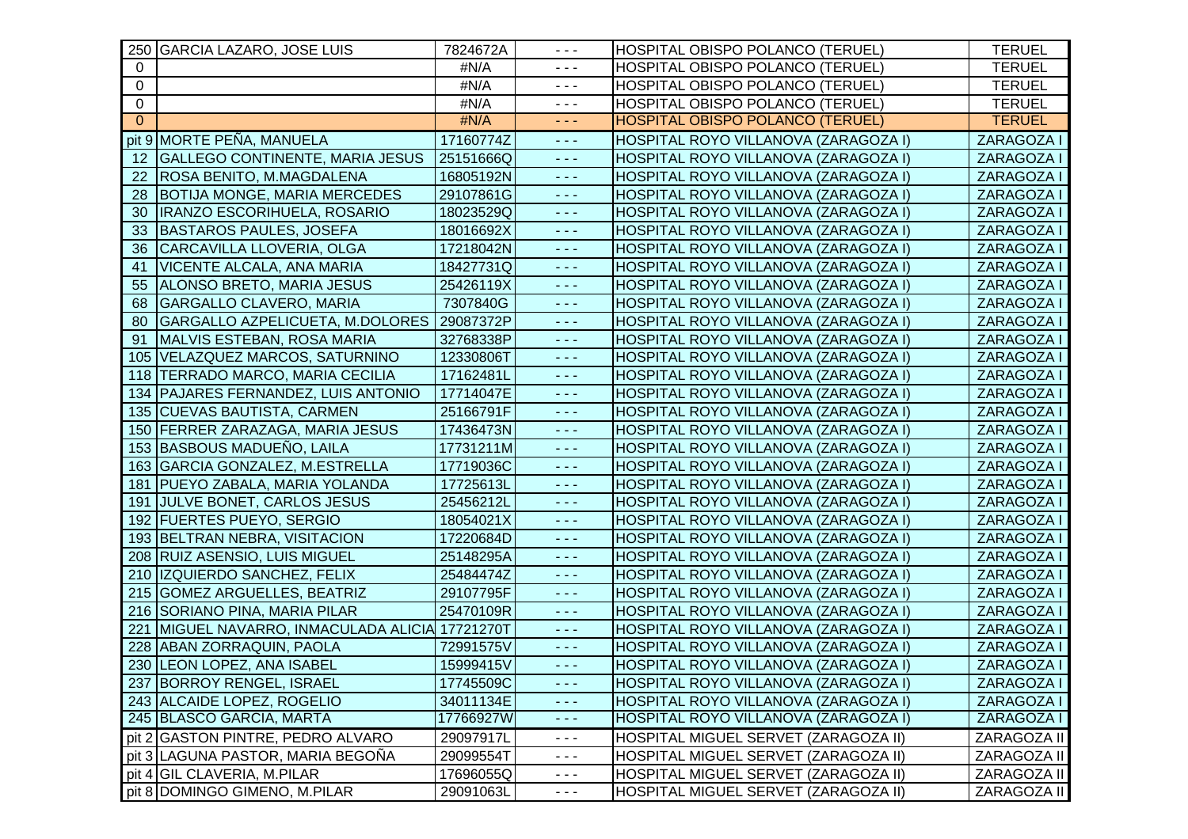|             | 250 GARCIA LAZARO, JOSE LUIS                | 7824672A  | $- - -$                                     | HOSPITAL OBISPO POLANCO (TERUEL)     | <b>TERUEL</b> |
|-------------|---------------------------------------------|-----------|---------------------------------------------|--------------------------------------|---------------|
| $\Omega$    |                                             | #N/A      | $\sim$ $\sim$ $\sim$                        | HOSPITAL OBISPO POLANCO (TERUEL)     | <b>TERUEL</b> |
| 0           |                                             | #N/A      | $- - -$                                     | HOSPITAL OBISPO POLANCO (TERUEL)     | <b>TERUEL</b> |
| $\mathbf 0$ |                                             | #N/A      | $- - -$                                     | HOSPITAL OBISPO POLANCO (TERUEL)     | <b>TERUEL</b> |
| $\Omega$    |                                             | #N/A      | $\omega_{\rm{eff}}$ and                     | HOSPITAL OBISPO POLANCO (TERUEL)     | <b>TERUEL</b> |
|             | pit 9 MORTE PEÑA, MANUELA                   | 17160774Z | - - -                                       | HOSPITAL ROYO VILLANOVA (ZARAGOZA I) | ZARAGOZA I    |
| 12          | <b>GALLEGO CONTINENTE, MARIA JESUS</b>      | 25151666Q | $  -$                                       | HOSPITAL ROYO VILLANOVA (ZARAGOZA I) | ZARAGOZA I    |
| 22          | ROSA BENITO, M.MAGDALENA                    | 16805192N | $\sim$ $\sim$ $\sim$                        | HOSPITAL ROYO VILLANOVA (ZARAGOZA I) | ZARAGOZA I    |
| 28          | <b>BOTIJA MONGE, MARIA MERCEDES</b>         | 29107861G | $\omega_{\rm{eff}}$ and                     | HOSPITAL ROYO VILLANOVA (ZARAGOZA I) | ZARAGOZA I    |
| 30          | IRANZO ESCORIHUELA, ROSARIO                 | 18023529Q | $\omega_{\rm{eff}}$ and                     | HOSPITAL ROYO VILLANOVA (ZARAGOZA I) | ZARAGOZA I    |
| 33          | <b>BASTAROS PAULES, JOSEFA</b>              | 18016692X | $\omega_{\rm{eff}}$ and $\omega_{\rm{eff}}$ | HOSPITAL ROYO VILLANOVA (ZARAGOZA I) | ZARAGOZA I    |
| 36          | CARCAVILLA LLOVERIA, OLGA                   | 17218042N | $\omega_{\rm{eff}}$ and                     | HOSPITAL ROYO VILLANOVA (ZARAGOZA I) | ZARAGOZA I    |
| 41          | <b>VICENTE ALCALA, ANA MARIA</b>            | 18427731Q | $\omega_{\rm{eff}}$ and $\omega_{\rm{eff}}$ | HOSPITAL ROYO VILLANOVA (ZARAGOZA I) | ZARAGOZA I    |
| 55          | ALONSO BRETO, MARIA JESUS                   | 25426119X | - - -                                       | HOSPITAL ROYO VILLANOVA (ZARAGOZA I) | ZARAGOZA I    |
| 68          | <b>GARGALLO CLAVERO, MARIA</b>              | 7307840G  | $\sim$ $\sim$ $\sim$                        | HOSPITAL ROYO VILLANOVA (ZARAGOZA I) | ZARAGOZA I    |
| 80          | GARGALLO AZPELICUETA, M.DOLORES   29087372P |           | $\omega_{\rm c}$ and $\omega_{\rm c}$       | HOSPITAL ROYO VILLANOVA (ZARAGOZA I) | ZARAGOZA I    |
| 91          | MALVIS ESTEBAN, ROSA MARIA                  | 32768338P | $  -$                                       | HOSPITAL ROYO VILLANOVA (ZARAGOZA I) | ZARAGOZA I    |
|             | 105 VELAZQUEZ MARCOS, SATURNINO             | 12330806T | $\omega_{\rm{eff}}$ and                     | HOSPITAL ROYO VILLANOVA (ZARAGOZA I) | ZARAGOZA I    |
|             | 118 TERRADO MARCO, MARIA CECILIA            | 17162481L | $\omega_{\rm{eff}}$ and                     | HOSPITAL ROYO VILLANOVA (ZARAGOZA I) | ZARAGOZA I    |
|             | 134   PAJARES FERNANDEZ, LUIS ANTONIO       | 17714047E | $  -$                                       | HOSPITAL ROYO VILLANOVA (ZARAGOZA I) | ZARAGOZA I    |
|             | 135 CUEVAS BAUTISTA, CARMEN                 | 25166791F | - - -                                       | HOSPITAL ROYO VILLANOVA (ZARAGOZA I) | ZARAGOZA I    |
|             | 150 FERRER ZARAZAGA, MARIA JESUS            | 17436473N | $\sim$ $\sim$ $\sim$                        | HOSPITAL ROYO VILLANOVA (ZARAGOZA I) | ZARAGOZA I    |
|             | 153 BASBOUS MADUEÑO, LAILA                  | 17731211M | $\sim$ $\sim$ $\sim$                        | HOSPITAL ROYO VILLANOVA (ZARAGOZA I) | ZARAGOZA I    |
|             | 163 GARCIA GONZALEZ, M.ESTRELLA             | 17719036C | $\omega_{\rm{eff}}$ and                     | HOSPITAL ROYO VILLANOVA (ZARAGOZA I) | ZARAGOZA I    |
|             | 181 PUEYO ZABALA, MARIA YOLANDA             | 17725613L | $\omega_{\rm{eff}}$ and                     | HOSPITAL ROYO VILLANOVA (ZARAGOZA I) | ZARAGOZA I    |
|             | 191 JULVE BONET, CARLOS JESUS               | 25456212L | $\omega_{\rm{eff}}$ and $\omega_{\rm{eff}}$ | HOSPITAL ROYO VILLANOVA (ZARAGOZA I) | ZARAGOZA I    |
|             | 192 FUERTES PUEYO, SERGIO                   | 18054021X | $  -$                                       | HOSPITAL ROYO VILLANOVA (ZARAGOZA I) | ZARAGOZA I    |
|             | 193 BELTRAN NEBRA, VISITACION               | 17220684D | 444                                         | HOSPITAL ROYO VILLANOVA (ZARAGOZA I) | ZARAGOZA I    |
|             | 208 RUIZ ASENSIO, LUIS MIGUEL               | 25148295A | $  -$                                       | HOSPITAL ROYO VILLANOVA (ZARAGOZA I) | ZARAGOZA I    |
|             | 210 IZQUIERDO SANCHEZ, FELIX                | 25484474Z | $\omega_{\rm{eff}}$ and                     | HOSPITAL ROYO VILLANOVA (ZARAGOZA I) | ZARAGOZA I    |
|             | 215 GOMEZ ARGUELLES, BEATRIZ                | 29107795F | $\omega_{\rm{eff}}$ and                     | HOSPITAL ROYO VILLANOVA (ZARAGOZA I) | ZARAGOZA I    |
|             | 216 SORIANO PINA, MARIA PILAR               | 25470109R | $\omega_{\rm{eff}}$ and                     | HOSPITAL ROYO VILLANOVA (ZARAGOZA I) | ZARAGOZA I    |
| 221         | MIGUEL NAVARRO, INMACULADA ALICIA 17721270T |           | $\sim$ $\sim$ $\sim$                        | HOSPITAL ROYO VILLANOVA (ZARAGOZA I) | ZARAGOZA I    |
|             | 228 ABAN ZORRAQUIN, PAOLA                   | 72991575V | $  -$                                       | HOSPITAL ROYO VILLANOVA (ZARAGOZA I) | ZARAGOZA I    |
|             | 230 LEON LOPEZ, ANA ISABEL                  | 15999415V | $  -$                                       | HOSPITAL ROYO VILLANOVA (ZARAGOZA I) | ZARAGOZA I    |
|             | 237 BORROY RENGEL, ISRAEL                   | 17745509C | - - -                                       | HOSPITAL ROYO VILLANOVA (ZARAGOZA I) | ZARAGOZA I    |
|             | 243 ALCAIDE LOPEZ, ROGELIO                  | 34011134E | $\sim$ $\sim$ $\sim$                        | HOSPITAL ROYO VILLANOVA (ZARAGOZA I) | ZARAGOZA I    |
|             | 245 BLASCO GARCIA, MARTA                    | 17766927W | $\sim$ $\sim$ $\sim$                        | HOSPITAL ROYO VILLANOVA (ZARAGOZA I) | ZARAGOZA I    |
|             | pit 2 GASTON PINTRE, PEDRO ALVARO           | 29097917L | - - -                                       | HOSPITAL MIGUEL SERVET (ZARAGOZA II) | ZARAGOZA II   |
|             | pit 3 LAGUNA PASTOR, MARIA BEGOÑA           | 29099554T | $\sim$ $\sim$ $\sim$                        | HOSPITAL MIGUEL SERVET (ZARAGOZA II) | ZARAGOZA II   |
|             | pit 4 GIL CLAVERIA, M.PILAR                 | 17696055Q | - - -                                       | HOSPITAL MIGUEL SERVET (ZARAGOZA II) | ZARAGOZA II   |
|             | pit 8 DOMINGO GIMENO, M.PILAR               | 29091063L | - - -                                       | HOSPITAL MIGUEL SERVET (ZARAGOZA II) | ZARAGOZA II   |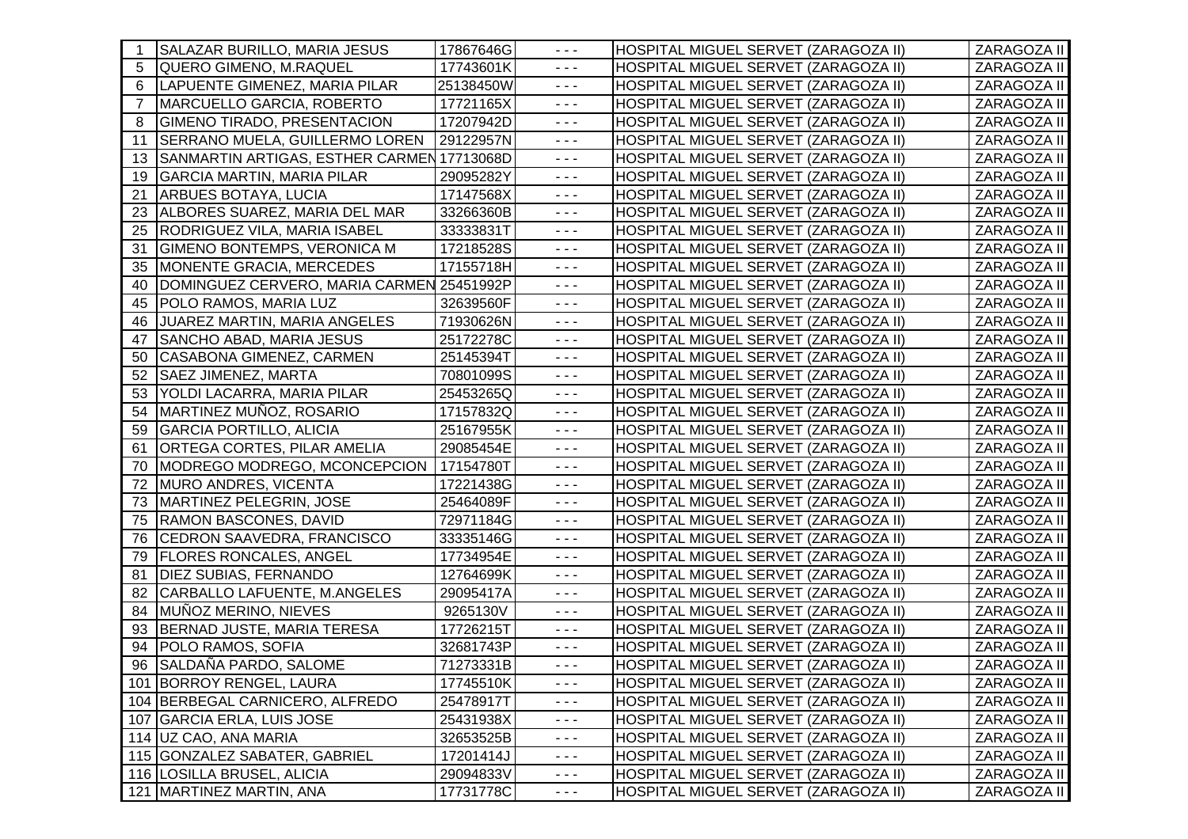| $\overline{\phantom{1}}$ | SALAZAR BURILLO, MARIA JESUS               | 17867646G | $  -$                                                                                                                                                                                                                                                                                                                                                                                        | HOSPITAL MIGUEL SERVET (ZARAGOZA II) | ZARAGOZA II |
|--------------------------|--------------------------------------------|-----------|----------------------------------------------------------------------------------------------------------------------------------------------------------------------------------------------------------------------------------------------------------------------------------------------------------------------------------------------------------------------------------------------|--------------------------------------|-------------|
| -5                       | <b>QUERO GIMENO, M.RAQUEL</b>              | 17743601K | $  -$                                                                                                                                                                                                                                                                                                                                                                                        | HOSPITAL MIGUEL SERVET (ZARAGOZA II) | ZARAGOZA II |
| 6                        | LAPUENTE GIMENEZ, MARIA PILAR              | 25138450W | $\sim$ $\sim$ $\sim$                                                                                                                                                                                                                                                                                                                                                                         | HOSPITAL MIGUEL SERVET (ZARAGOZA II) | ZARAGOZA II |
| $\overline{7}$           | MARCUELLO GARCIA, ROBERTO                  | 17721165X | $\sim$ $\sim$ $\sim$                                                                                                                                                                                                                                                                                                                                                                         | HOSPITAL MIGUEL SERVET (ZARAGOZA II) | ZARAGOZA II |
| -8                       | GIMENO TIRADO, PRESENTACION                | 17207942D | $\frac{1}{2} \frac{1}{2} \frac{1}{2} \frac{1}{2} \frac{1}{2} \frac{1}{2} \frac{1}{2} \frac{1}{2} \frac{1}{2} \frac{1}{2} \frac{1}{2} \frac{1}{2} \frac{1}{2} \frac{1}{2} \frac{1}{2} \frac{1}{2} \frac{1}{2} \frac{1}{2} \frac{1}{2} \frac{1}{2} \frac{1}{2} \frac{1}{2} \frac{1}{2} \frac{1}{2} \frac{1}{2} \frac{1}{2} \frac{1}{2} \frac{1}{2} \frac{1}{2} \frac{1}{2} \frac{1}{2} \frac{$ | HOSPITAL MIGUEL SERVET (ZARAGOZA II) | ZARAGOZA II |
| 11                       | SERRANO MUELA, GUILLERMO LOREN             | 29122957N | $  -$                                                                                                                                                                                                                                                                                                                                                                                        | HOSPITAL MIGUEL SERVET (ZARAGOZA II) | ZARAGOZA II |
| -13                      | SANMARTIN ARTIGAS, ESTHER CARMEN 17713068D |           | $  -$                                                                                                                                                                                                                                                                                                                                                                                        | HOSPITAL MIGUEL SERVET (ZARAGOZA II) | ZARAGOZA II |
| 19                       | <b>GARCIA MARTIN, MARIA PILAR</b>          | 29095282Y | $  -$                                                                                                                                                                                                                                                                                                                                                                                        | HOSPITAL MIGUEL SERVET (ZARAGOZA II) | ZARAGOZA II |
| 21                       | <b>ARBUES BOTAYA, LUCIA</b>                | 17147568X | $  -$                                                                                                                                                                                                                                                                                                                                                                                        | HOSPITAL MIGUEL SERVET (ZARAGOZA II) | ZARAGOZA II |
| 23                       | ALBORES SUAREZ, MARIA DEL MAR              | 33266360B | $\sim$ $\sim$ $\sim$                                                                                                                                                                                                                                                                                                                                                                         | HOSPITAL MIGUEL SERVET (ZARAGOZA II) | ZARAGOZA II |
| 25                       | <b>RODRIGUEZ VILA, MARIA ISABEL</b>        | 33333831T | $\sim$ $\sim$ $\sim$                                                                                                                                                                                                                                                                                                                                                                         | HOSPITAL MIGUEL SERVET (ZARAGOZA II) | ZARAGOZA II |
| 31                       | <b>GIMENO BONTEMPS, VERONICA M</b>         | 17218528S | $  -$                                                                                                                                                                                                                                                                                                                                                                                        | HOSPITAL MIGUEL SERVET (ZARAGOZA II) | ZARAGOZA II |
| 35                       | MONENTE GRACIA, MERCEDES                   | 17155718H | $\sim$ $\sim$ $\sim$                                                                                                                                                                                                                                                                                                                                                                         | HOSPITAL MIGUEL SERVET (ZARAGOZA II) | ZARAGOZA II |
| 40                       | DOMINGUEZ CERVERO, MARIA CARMEN 25451992P  |           | $  -$                                                                                                                                                                                                                                                                                                                                                                                        | HOSPITAL MIGUEL SERVET (ZARAGOZA II) | ZARAGOZA II |
| 45                       | POLO RAMOS, MARIA LUZ                      | 32639560F | $  -$                                                                                                                                                                                                                                                                                                                                                                                        | HOSPITAL MIGUEL SERVET (ZARAGOZA II) | ZARAGOZA II |
| 46                       | <b>JUAREZ MARTIN, MARIA ANGELES</b>        | 71930626N | $\frac{1}{2} \frac{1}{2} \frac{1}{2} \frac{1}{2} \frac{1}{2} \frac{1}{2} \frac{1}{2} \frac{1}{2} \frac{1}{2} \frac{1}{2} \frac{1}{2} \frac{1}{2} \frac{1}{2} \frac{1}{2} \frac{1}{2} \frac{1}{2} \frac{1}{2} \frac{1}{2} \frac{1}{2} \frac{1}{2} \frac{1}{2} \frac{1}{2} \frac{1}{2} \frac{1}{2} \frac{1}{2} \frac{1}{2} \frac{1}{2} \frac{1}{2} \frac{1}{2} \frac{1}{2} \frac{1}{2} \frac{$ | HOSPITAL MIGUEL SERVET (ZARAGOZA II) | ZARAGOZA II |
| 47                       | <b>SANCHO ABAD, MARIA JESUS</b>            | 25172278C | $  -$                                                                                                                                                                                                                                                                                                                                                                                        | HOSPITAL MIGUEL SERVET (ZARAGOZA II) | ZARAGOZA II |
| 50                       | CASABONA GIMENEZ, CARMEN                   | 25145394T | $\sim$ $\sim$ $\sim$                                                                                                                                                                                                                                                                                                                                                                         | HOSPITAL MIGUEL SERVET (ZARAGOZA II) | ZARAGOZA II |
| 52                       | <b>SAEZ JIMENEZ, MARTA</b>                 | 70801099S | $\frac{1}{2} \frac{1}{2} \frac{1}{2} \frac{1}{2} \frac{1}{2} \frac{1}{2} \frac{1}{2} \frac{1}{2} \frac{1}{2} \frac{1}{2} \frac{1}{2} \frac{1}{2} \frac{1}{2} \frac{1}{2} \frac{1}{2} \frac{1}{2} \frac{1}{2} \frac{1}{2} \frac{1}{2} \frac{1}{2} \frac{1}{2} \frac{1}{2} \frac{1}{2} \frac{1}{2} \frac{1}{2} \frac{1}{2} \frac{1}{2} \frac{1}{2} \frac{1}{2} \frac{1}{2} \frac{1}{2} \frac{$ | HOSPITAL MIGUEL SERVET (ZARAGOZA II) | ZARAGOZA II |
| 53                       | YOLDI LACARRA, MARIA PILAR                 | 25453265Q | $\sim$ $\sim$ $\sim$                                                                                                                                                                                                                                                                                                                                                                         | HOSPITAL MIGUEL SERVET (ZARAGOZA II) | ZARAGOZA II |
| 54                       | MARTINEZ MUÑOZ, ROSARIO                    | 17157832Q | $\sim$ $\sim$ $\sim$                                                                                                                                                                                                                                                                                                                                                                         | HOSPITAL MIGUEL SERVET (ZARAGOZA II) | ZARAGOZA II |
| 59                       | <b>GARCIA PORTILLO, ALICIA</b>             | 25167955K | $  -$                                                                                                                                                                                                                                                                                                                                                                                        | HOSPITAL MIGUEL SERVET (ZARAGOZA II) | ZARAGOZA II |
| -61                      | ORTEGA CORTES, PILAR AMELIA                | 29085454E | $\frac{1}{2} \frac{1}{2} \frac{1}{2} \frac{1}{2} \frac{1}{2} \frac{1}{2} \frac{1}{2} \frac{1}{2} \frac{1}{2} \frac{1}{2} \frac{1}{2} \frac{1}{2} \frac{1}{2} \frac{1}{2} \frac{1}{2} \frac{1}{2} \frac{1}{2} \frac{1}{2} \frac{1}{2} \frac{1}{2} \frac{1}{2} \frac{1}{2} \frac{1}{2} \frac{1}{2} \frac{1}{2} \frac{1}{2} \frac{1}{2} \frac{1}{2} \frac{1}{2} \frac{1}{2} \frac{1}{2} \frac{$ | HOSPITAL MIGUEL SERVET (ZARAGOZA II) | ZARAGOZA II |
| 70                       | <b>MODREGO MODREGO, MCONCEPCION</b>        | 17154780T | $\sim$ $\sim$ $\sim$                                                                                                                                                                                                                                                                                                                                                                         | HOSPITAL MIGUEL SERVET (ZARAGOZA II) | ZARAGOZA II |
| -72                      | <b>MURO ANDRES, VICENTA</b>                | 17221438G | $\sim$ $\sim$ $\sim$                                                                                                                                                                                                                                                                                                                                                                         | HOSPITAL MIGUEL SERVET (ZARAGOZA II) | ZARAGOZA II |
| 73                       | MARTINEZ PELEGRIN, JOSE                    | 25464089F | $\frac{1}{2} \frac{1}{2} \frac{1}{2} \frac{1}{2} \frac{1}{2} \frac{1}{2} \frac{1}{2} \frac{1}{2} \frac{1}{2} \frac{1}{2} \frac{1}{2} \frac{1}{2} \frac{1}{2} \frac{1}{2} \frac{1}{2} \frac{1}{2} \frac{1}{2} \frac{1}{2} \frac{1}{2} \frac{1}{2} \frac{1}{2} \frac{1}{2} \frac{1}{2} \frac{1}{2} \frac{1}{2} \frac{1}{2} \frac{1}{2} \frac{1}{2} \frac{1}{2} \frac{1}{2} \frac{1}{2} \frac{$ | HOSPITAL MIGUEL SERVET (ZARAGOZA II) | ZARAGOZA II |
| 75                       | <b>RAMON BASCONES, DAVID</b>               | 72971184G | $\sim$ $\sim$ $\sim$                                                                                                                                                                                                                                                                                                                                                                         | HOSPITAL MIGUEL SERVET (ZARAGOZA II) | ZARAGOZA II |
| 76                       | CEDRON SAAVEDRA, FRANCISCO                 | 33335146G | $  -$                                                                                                                                                                                                                                                                                                                                                                                        | HOSPITAL MIGUEL SERVET (ZARAGOZA II) | ZARAGOZA II |
| 79                       | <b>FLORES RONCALES, ANGEL</b>              | 17734954E | $  -$                                                                                                                                                                                                                                                                                                                                                                                        | HOSPITAL MIGUEL SERVET (ZARAGOZA II) | ZARAGOZA II |
| 81                       | <b>DIEZ SUBIAS, FERNANDO</b>               | 12764699K | $\frac{1}{2} \frac{1}{2} \frac{1}{2} \frac{1}{2} \frac{1}{2} \frac{1}{2} \frac{1}{2} \frac{1}{2} \frac{1}{2} \frac{1}{2} \frac{1}{2} \frac{1}{2} \frac{1}{2} \frac{1}{2} \frac{1}{2} \frac{1}{2} \frac{1}{2} \frac{1}{2} \frac{1}{2} \frac{1}{2} \frac{1}{2} \frac{1}{2} \frac{1}{2} \frac{1}{2} \frac{1}{2} \frac{1}{2} \frac{1}{2} \frac{1}{2} \frac{1}{2} \frac{1}{2} \frac{1}{2} \frac{$ | HOSPITAL MIGUEL SERVET (ZARAGOZA II) | ZARAGOZA II |
| 82                       | CARBALLO LAFUENTE, M.ANGELES               | 29095417A | $\sim$ $\sim$ $\sim$                                                                                                                                                                                                                                                                                                                                                                         | HOSPITAL MIGUEL SERVET (ZARAGOZA II) | ZARAGOZA II |
| 84                       | MUÑOZ MERINO, NIEVES                       | 9265130V  | $\sim$ $\sim$ $\sim$                                                                                                                                                                                                                                                                                                                                                                         | HOSPITAL MIGUEL SERVET (ZARAGOZA II) | ZARAGOZA II |
| 93                       | BERNAD JUSTE, MARIA TERESA                 | 17726215T | $\sim$ $\sim$ $\sim$                                                                                                                                                                                                                                                                                                                                                                         | HOSPITAL MIGUEL SERVET (ZARAGOZA II) | ZARAGOZA II |
| 94                       | POLO RAMOS, SOFIA                          | 32681743P | $\sim$ $\sim$ $\sim$                                                                                                                                                                                                                                                                                                                                                                         | HOSPITAL MIGUEL SERVET (ZARAGOZA II) | ZARAGOZA II |
|                          | 96 SALDAÑA PARDO, SALOME                   | 71273331B | $  -$                                                                                                                                                                                                                                                                                                                                                                                        | HOSPITAL MIGUEL SERVET (ZARAGOZA II) | ZARAGOZA II |
|                          | 101 BORROY RENGEL, LAURA                   | 17745510K | $  -$                                                                                                                                                                                                                                                                                                                                                                                        | HOSPITAL MIGUEL SERVET (ZARAGOZA II) | ZARAGOZA II |
|                          | 104 BERBEGAL CARNICERO, ALFREDO            | 25478917T | $\sim$ $\sim$ $\sim$                                                                                                                                                                                                                                                                                                                                                                         | HOSPITAL MIGUEL SERVET (ZARAGOZA II) | ZARAGOZA II |
|                          | 107 GARCIA ERLA, LUIS JOSE                 | 25431938X | $\sim$ $\sim$ $\sim$                                                                                                                                                                                                                                                                                                                                                                         | HOSPITAL MIGUEL SERVET (ZARAGOZA II) | ZARAGOZA II |
|                          | 114 UZ CAO, ANA MARIA                      | 32653525B | $- - -$                                                                                                                                                                                                                                                                                                                                                                                      | HOSPITAL MIGUEL SERVET (ZARAGOZA II) | ZARAGOZA II |
|                          | 115 GONZALEZ SABATER, GABRIEL              | 17201414J | $- - -$                                                                                                                                                                                                                                                                                                                                                                                      | HOSPITAL MIGUEL SERVET (ZARAGOZA II) | ZARAGOZA II |
|                          | 116 LOSILLA BRUSEL, ALICIA                 | 29094833V | $\sim$ $\sim$ $\sim$                                                                                                                                                                                                                                                                                                                                                                         | HOSPITAL MIGUEL SERVET (ZARAGOZA II) | ZARAGOZA II |
|                          | 121   MARTINEZ MARTIN, ANA                 | 17731778C | $\sim$ $\sim$ $\sim$                                                                                                                                                                                                                                                                                                                                                                         | HOSPITAL MIGUEL SERVET (ZARAGOZA II) | ZARAGOZA II |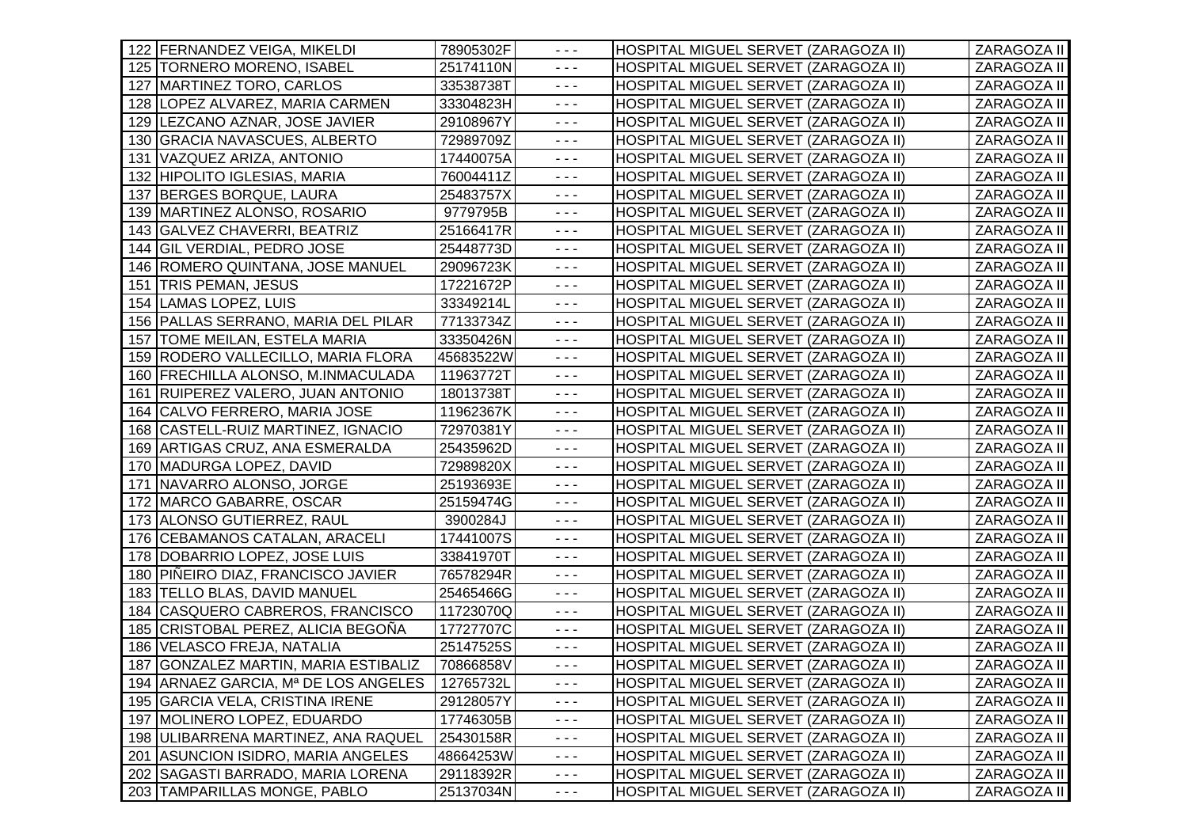| 122 FERNANDEZ VEIGA, MIKELDI         | 78905302F | $  -$                                                                                                                                                                                                                                                                                                                                                                                        | HOSPITAL MIGUEL SERVET (ZARAGOZA II) | ZARAGOZA II |
|--------------------------------------|-----------|----------------------------------------------------------------------------------------------------------------------------------------------------------------------------------------------------------------------------------------------------------------------------------------------------------------------------------------------------------------------------------------------|--------------------------------------|-------------|
| 125   TORNERO MORENO, ISABEL         | 25174110N | $\sim$ $\sim$ $\sim$                                                                                                                                                                                                                                                                                                                                                                         | HOSPITAL MIGUEL SERVET (ZARAGOZA II) | ZARAGOZA II |
| 127 MARTINEZ TORO, CARLOS            | 33538738T | $\sim$ $\sim$ $\sim$                                                                                                                                                                                                                                                                                                                                                                         | HOSPITAL MIGUEL SERVET (ZARAGOZA II) | ZARAGOZA II |
| 128 LOPEZ ALVAREZ, MARIA CARMEN      | 33304823H | $\sim$ $\sim$ $\sim$                                                                                                                                                                                                                                                                                                                                                                         | HOSPITAL MIGUEL SERVET (ZARAGOZA II) | ZARAGOZA II |
| 129 LEZCANO AZNAR, JOSE JAVIER       | 29108967Y | $\sim$ $\sim$ $\sim$                                                                                                                                                                                                                                                                                                                                                                         | HOSPITAL MIGUEL SERVET (ZARAGOZA II) | ZARAGOZA II |
| 130 GRACIA NAVASCUES, ALBERTO        | 72989709Z | $\sim$ $\sim$ $\sim$                                                                                                                                                                                                                                                                                                                                                                         | HOSPITAL MIGUEL SERVET (ZARAGOZA II) | ZARAGOZA II |
| VAZQUEZ ARIZA, ANTONIO<br>131        | 17440075A | $\sim$ $\sim$ $\sim$                                                                                                                                                                                                                                                                                                                                                                         | HOSPITAL MIGUEL SERVET (ZARAGOZA II) | ZARAGOZA II |
| 132 HIPOLITO IGLESIAS, MARIA         | 76004411Z | $- - -$                                                                                                                                                                                                                                                                                                                                                                                      | HOSPITAL MIGUEL SERVET (ZARAGOZA II) | ZARAGOZA II |
| <b>BERGES BORQUE, LAURA</b><br>137   | 25483757X | $\sim$ $\sim$ $\sim$                                                                                                                                                                                                                                                                                                                                                                         | HOSPITAL MIGUEL SERVET (ZARAGOZA II) | ZARAGOZA II |
| 139 MARTINEZ ALONSO, ROSARIO         | 9779795B  | $\sim$ $\sim$ $\sim$                                                                                                                                                                                                                                                                                                                                                                         | HOSPITAL MIGUEL SERVET (ZARAGOZA II) | ZARAGOZA II |
| 143 GALVEZ CHAVERRI, BEATRIZ         | 25166417R | $\sim$ $\sim$ $\sim$                                                                                                                                                                                                                                                                                                                                                                         | HOSPITAL MIGUEL SERVET (ZARAGOZA II) | ZARAGOZA II |
| 144 GIL VERDIAL, PEDRO JOSE          | 25448773D | $\sim$ $\sim$ $\sim$                                                                                                                                                                                                                                                                                                                                                                         | HOSPITAL MIGUEL SERVET (ZARAGOZA II) | ZARAGOZA II |
| 146   ROMERO QUINTANA, JOSE MANUEL   | 29096723K | $- - -$                                                                                                                                                                                                                                                                                                                                                                                      | HOSPITAL MIGUEL SERVET (ZARAGOZA II) | ZARAGOZA II |
| 151 TRIS PEMAN, JESUS                | 17221672P | $\sim$ $\sim$ $\sim$                                                                                                                                                                                                                                                                                                                                                                         | HOSPITAL MIGUEL SERVET (ZARAGOZA II) | ZARAGOZA II |
| 154 LAMAS LOPEZ, LUIS                | 33349214L | $- - -$                                                                                                                                                                                                                                                                                                                                                                                      | HOSPITAL MIGUEL SERVET (ZARAGOZA II) | ZARAGOZA II |
| 156 PALLAS SERRANO, MARIA DEL PILAR  | 77133734Z | $\frac{1}{2} \frac{1}{2} \frac{1}{2} \frac{1}{2} \frac{1}{2} \frac{1}{2} \frac{1}{2} \frac{1}{2} \frac{1}{2} \frac{1}{2} \frac{1}{2} \frac{1}{2} \frac{1}{2} \frac{1}{2} \frac{1}{2} \frac{1}{2} \frac{1}{2} \frac{1}{2} \frac{1}{2} \frac{1}{2} \frac{1}{2} \frac{1}{2} \frac{1}{2} \frac{1}{2} \frac{1}{2} \frac{1}{2} \frac{1}{2} \frac{1}{2} \frac{1}{2} \frac{1}{2} \frac{1}{2} \frac{$ | HOSPITAL MIGUEL SERVET (ZARAGOZA II) | ZARAGOZA II |
| 157 TOME MEILAN, ESTELA MARIA        | 33350426N | $\sim$ $\sim$ $\sim$                                                                                                                                                                                                                                                                                                                                                                         | HOSPITAL MIGUEL SERVET (ZARAGOZA II) | ZARAGOZA II |
| 159 RODERO VALLECILLO, MARIA FLORA   | 45683522W | $\sim$ $\sim$ $\sim$                                                                                                                                                                                                                                                                                                                                                                         | HOSPITAL MIGUEL SERVET (ZARAGOZA II) | ZARAGOZA II |
| 160 FRECHILLA ALONSO, M.INMACULADA   | 11963772T | $\sim$ $\sim$ $\sim$                                                                                                                                                                                                                                                                                                                                                                         | HOSPITAL MIGUEL SERVET (ZARAGOZA II) | ZARAGOZA II |
| 161 RUIPEREZ VALERO, JUAN ANTONIO    | 18013738T | $\sim$ $\sim$ $\sim$                                                                                                                                                                                                                                                                                                                                                                         | HOSPITAL MIGUEL SERVET (ZARAGOZA II) | ZARAGOZA II |
| 164 CALVO FERRERO, MARIA JOSE        | 11962367K | $- - -$                                                                                                                                                                                                                                                                                                                                                                                      | HOSPITAL MIGUEL SERVET (ZARAGOZA II) | ZARAGOZA II |
| 168 CASTELL-RUIZ MARTINEZ, IGNACIO   | 72970381Y | $\sim$ $\sim$ $\sim$                                                                                                                                                                                                                                                                                                                                                                         | HOSPITAL MIGUEL SERVET (ZARAGOZA II) | ZARAGOZA II |
| 169 ARTIGAS CRUZ, ANA ESMERALDA      | 25435962D | $\sim$ $\sim$ $\sim$                                                                                                                                                                                                                                                                                                                                                                         | HOSPITAL MIGUEL SERVET (ZARAGOZA II) | ZARAGOZA II |
| 170 MADURGA LOPEZ, DAVID             | 72989820X | $\sim$ $\sim$ $\sim$                                                                                                                                                                                                                                                                                                                                                                         | HOSPITAL MIGUEL SERVET (ZARAGOZA II) | ZARAGOZA II |
| 171 NAVARRO ALONSO, JORGE            | 25193693E | $\sim$ $\sim$ $\sim$                                                                                                                                                                                                                                                                                                                                                                         | HOSPITAL MIGUEL SERVET (ZARAGOZA II) | ZARAGOZA II |
| 172 MARCO GABARRE, OSCAR             | 25159474G | $\sim$ $\sim$ $\sim$                                                                                                                                                                                                                                                                                                                                                                         | HOSPITAL MIGUEL SERVET (ZARAGOZA II) | ZARAGOZA II |
| 173 ALONSO GUTIERREZ, RAUL           | 3900284J  | $\sim$ $\sim$ $\sim$                                                                                                                                                                                                                                                                                                                                                                         | HOSPITAL MIGUEL SERVET (ZARAGOZA II) | ZARAGOZA II |
| 176 CEBAMANOS CATALAN, ARACELI       | 17441007S | $\sim$ $\sim$ $\sim$                                                                                                                                                                                                                                                                                                                                                                         | HOSPITAL MIGUEL SERVET (ZARAGOZA II) | ZARAGOZA II |
| 178   DOBARRIO LOPEZ, JOSE LUIS      | 33841970T | $  -$                                                                                                                                                                                                                                                                                                                                                                                        | HOSPITAL MIGUEL SERVET (ZARAGOZA II) | ZARAGOZA II |
| 180 PIÑEIRO DIAZ, FRANCISCO JAVIER   | 76578294R | $\frac{1}{2} \frac{1}{2} \frac{1}{2} \frac{1}{2} \frac{1}{2} \frac{1}{2} \frac{1}{2} \frac{1}{2} \frac{1}{2} \frac{1}{2} \frac{1}{2} \frac{1}{2} \frac{1}{2} \frac{1}{2} \frac{1}{2} \frac{1}{2} \frac{1}{2} \frac{1}{2} \frac{1}{2} \frac{1}{2} \frac{1}{2} \frac{1}{2} \frac{1}{2} \frac{1}{2} \frac{1}{2} \frac{1}{2} \frac{1}{2} \frac{1}{2} \frac{1}{2} \frac{1}{2} \frac{1}{2} \frac{$ | HOSPITAL MIGUEL SERVET (ZARAGOZA II) | ZARAGOZA II |
| 183 TELLO BLAS, DAVID MANUEL         | 25465466G | $\sim$ $\sim$ $\sim$                                                                                                                                                                                                                                                                                                                                                                         | HOSPITAL MIGUEL SERVET (ZARAGOZA II) | ZARAGOZA II |
| 184 CASQUERO CABREROS, FRANCISCO     | 11723070Q | $\sim$ $\sim$ $\sim$                                                                                                                                                                                                                                                                                                                                                                         | HOSPITAL MIGUEL SERVET (ZARAGOZA II) | ZARAGOZA II |
| 185 CRISTOBAL PEREZ, ALICIA BEGOÑA   | 17727707C | $\sim$ $\sim$ $\sim$                                                                                                                                                                                                                                                                                                                                                                         | HOSPITAL MIGUEL SERVET (ZARAGOZA II) | ZARAGOZA II |
| 186 VELASCO FREJA, NATALIA           | 25147525S | $\sim$ $\sim$ $\sim$                                                                                                                                                                                                                                                                                                                                                                         | HOSPITAL MIGUEL SERVET (ZARAGOZA II) | ZARAGOZA II |
| 187 GONZALEZ MARTIN, MARIA ESTIBALIZ | 70866858V | $\sim$ $\sim$ $\sim$                                                                                                                                                                                                                                                                                                                                                                         | HOSPITAL MIGUEL SERVET (ZARAGOZA II) | ZARAGOZA II |
| 194 ARNAEZ GARCIA, Mª DE LOS ANGELES | 12765732L | $  -$                                                                                                                                                                                                                                                                                                                                                                                        | HOSPITAL MIGUEL SERVET (ZARAGOZA II) | ZARAGOZA II |
| 195 GARCIA VELA, CRISTINA IRENE      | 29128057Y | $- - -$                                                                                                                                                                                                                                                                                                                                                                                      | HOSPITAL MIGUEL SERVET (ZARAGOZA II) | ZARAGOZA II |
| 197 MOLINERO LOPEZ, EDUARDO          | 17746305B | $- - -$                                                                                                                                                                                                                                                                                                                                                                                      | HOSPITAL MIGUEL SERVET (ZARAGOZA II) | ZARAGOZA II |
| 198 ULIBARRENA MARTINEZ, ANA RAQUEL  | 25430158R | $- - -$                                                                                                                                                                                                                                                                                                                                                                                      | HOSPITAL MIGUEL SERVET (ZARAGOZA II) | ZARAGOZA II |
| 201 ASUNCION ISIDRO, MARIA ANGELES   | 48664253W | $- - -$                                                                                                                                                                                                                                                                                                                                                                                      | HOSPITAL MIGUEL SERVET (ZARAGOZA II) | ZARAGOZA II |
| 202 SAGASTI BARRADO, MARIA LORENA    | 29118392R | $\sim$ $\sim$ $\sim$                                                                                                                                                                                                                                                                                                                                                                         | HOSPITAL MIGUEL SERVET (ZARAGOZA II) | ZARAGOZA II |
| 203 TAMPARILLAS MONGE, PABLO         | 25137034N | $\sim$ $\sim$ $\sim$                                                                                                                                                                                                                                                                                                                                                                         | HOSPITAL MIGUEL SERVET (ZARAGOZA II) | ZARAGOZA II |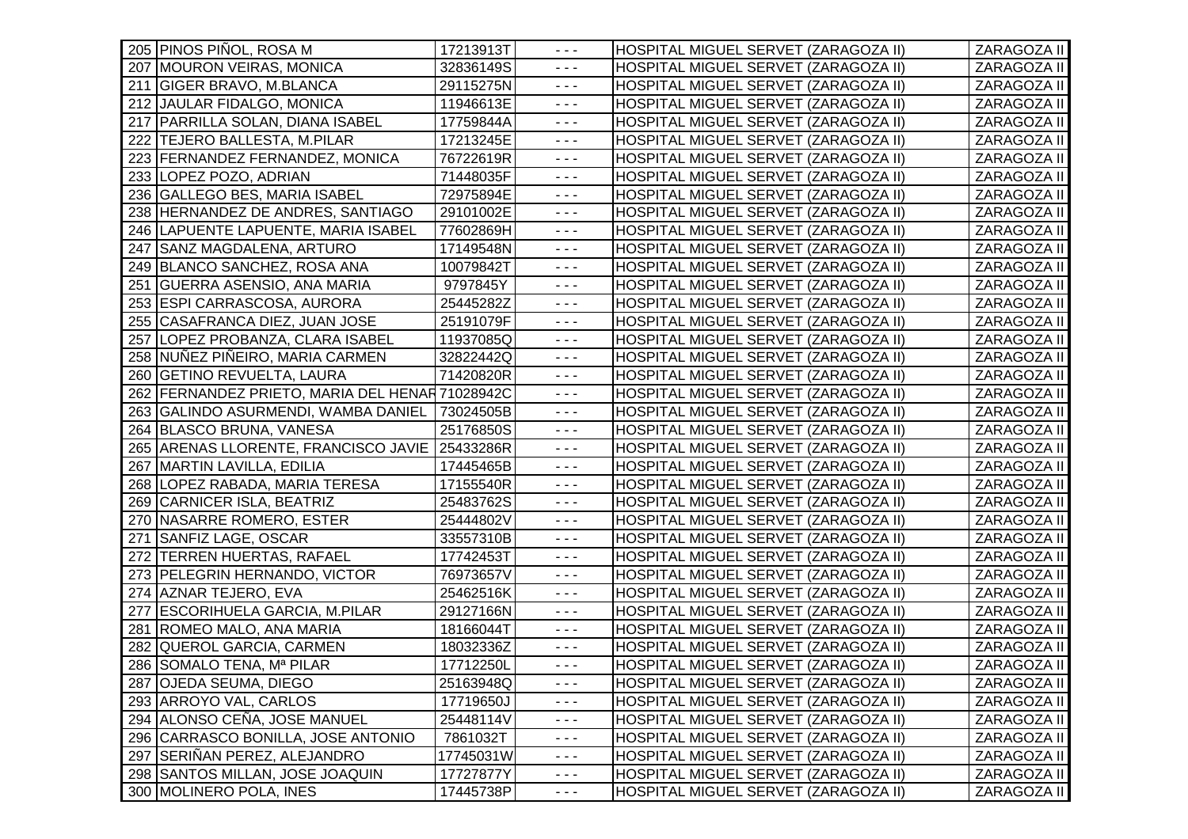|     | 205 PINOS PIÑOL, ROSA M                         | 17213913T | $  -$                                                                                                                                                                                                                                                                                                                                                                                        | HOSPITAL MIGUEL SERVET (ZARAGOZA II) | ZARAGOZA II |
|-----|-------------------------------------------------|-----------|----------------------------------------------------------------------------------------------------------------------------------------------------------------------------------------------------------------------------------------------------------------------------------------------------------------------------------------------------------------------------------------------|--------------------------------------|-------------|
|     | 207 MOURON VEIRAS, MONICA                       | 32836149S | $\sim$ $\sim$ $\sim$                                                                                                                                                                                                                                                                                                                                                                         | HOSPITAL MIGUEL SERVET (ZARAGOZA II) | ZARAGOZA II |
|     | 211 GIGER BRAVO, M.BLANCA                       | 29115275N | $\sim$ $\sim$ $\sim$                                                                                                                                                                                                                                                                                                                                                                         | HOSPITAL MIGUEL SERVET (ZARAGOZA II) | ZARAGOZA II |
|     | 212 JAULAR FIDALGO, MONICA                      | 11946613E | $\sim$ $\sim$ $\sim$                                                                                                                                                                                                                                                                                                                                                                         | HOSPITAL MIGUEL SERVET (ZARAGOZA II) | ZARAGOZA II |
|     | 217   PARRILLA SOLAN, DIANA ISABEL              | 17759844A | $\sim$ $\sim$ $\sim$                                                                                                                                                                                                                                                                                                                                                                         | HOSPITAL MIGUEL SERVET (ZARAGOZA II) | ZARAGOZA II |
|     | 222 TEJERO BALLESTA, M.PILAR                    | 17213245E | $\sim$ $\sim$ $\sim$                                                                                                                                                                                                                                                                                                                                                                         | HOSPITAL MIGUEL SERVET (ZARAGOZA II) | ZARAGOZA II |
|     | 223 FERNANDEZ FERNANDEZ, MONICA                 | 76722619R | $\sim$ $\sim$ $\sim$                                                                                                                                                                                                                                                                                                                                                                         | HOSPITAL MIGUEL SERVET (ZARAGOZA II) | ZARAGOZA II |
|     | 233 LOPEZ POZO, ADRIAN                          | 71448035F | $\sim$ $\sim$ $\sim$                                                                                                                                                                                                                                                                                                                                                                         | HOSPITAL MIGUEL SERVET (ZARAGOZA II) | ZARAGOZA II |
|     | 236 GALLEGO BES, MARIA ISABEL                   | 72975894E | $\sim$ $\sim$ $\sim$                                                                                                                                                                                                                                                                                                                                                                         | HOSPITAL MIGUEL SERVET (ZARAGOZA II) | ZARAGOZA II |
|     | 238 HERNANDEZ DE ANDRES, SANTIAGO               | 29101002E | $\sim$ $\sim$ $\sim$                                                                                                                                                                                                                                                                                                                                                                         | HOSPITAL MIGUEL SERVET (ZARAGOZA II) | ZARAGOZA II |
|     | 246 LAPUENTE LAPUENTE, MARIA ISABEL             | 77602869H | $\omega \equiv \omega$                                                                                                                                                                                                                                                                                                                                                                       | HOSPITAL MIGUEL SERVET (ZARAGOZA II) | ZARAGOZA II |
|     | 247 SANZ MAGDALENA, ARTURO                      | 17149548N | $\sim$ $\sim$ $\sim$                                                                                                                                                                                                                                                                                                                                                                         | HOSPITAL MIGUEL SERVET (ZARAGOZA II) | ZARAGOZA II |
|     | 249 BLANCO SANCHEZ, ROSA ANA                    | 10079842T | $\sim$ $\sim$ $\sim$                                                                                                                                                                                                                                                                                                                                                                         | HOSPITAL MIGUEL SERVET (ZARAGOZA II) | ZARAGOZA II |
| 251 | <b>GUERRA ASENSIO, ANA MARIA</b>                | 9797845Y  | $\sim$ $\sim$ $\sim$                                                                                                                                                                                                                                                                                                                                                                         | HOSPITAL MIGUEL SERVET (ZARAGOZA II) | ZARAGOZA II |
|     | 253 ESPI CARRASCOSA, AURORA                     | 25445282Z | $- - -$                                                                                                                                                                                                                                                                                                                                                                                      | HOSPITAL MIGUEL SERVET (ZARAGOZA II) | ZARAGOZA II |
|     | 255 CASAFRANCA DIEZ, JUAN JOSE                  | 25191079F | $\frac{1}{2} \frac{1}{2} \frac{1}{2} \frac{1}{2} \frac{1}{2} \frac{1}{2} \frac{1}{2} \frac{1}{2} \frac{1}{2} \frac{1}{2} \frac{1}{2} \frac{1}{2} \frac{1}{2} \frac{1}{2} \frac{1}{2} \frac{1}{2} \frac{1}{2} \frac{1}{2} \frac{1}{2} \frac{1}{2} \frac{1}{2} \frac{1}{2} \frac{1}{2} \frac{1}{2} \frac{1}{2} \frac{1}{2} \frac{1}{2} \frac{1}{2} \frac{1}{2} \frac{1}{2} \frac{1}{2} \frac{$ | HOSPITAL MIGUEL SERVET (ZARAGOZA II) | ZARAGOZA II |
|     | 257 LOPEZ PROBANZA, CLARA ISABEL                | 11937085Q | $\sim$ $\sim$ $\sim$                                                                                                                                                                                                                                                                                                                                                                         | HOSPITAL MIGUEL SERVET (ZARAGOZA II) | ZARAGOZA II |
|     | 258 NUÑEZ PIÑEIRO, MARIA CARMEN                 | 32822442Q | $\sim$ $\sim$ $\sim$                                                                                                                                                                                                                                                                                                                                                                         | HOSPITAL MIGUEL SERVET (ZARAGOZA II) | ZARAGOZA II |
|     | 260 GETINO REVUELTA, LAURA                      | 71420820R | $\sim$ $\sim$ $\sim$                                                                                                                                                                                                                                                                                                                                                                         | HOSPITAL MIGUEL SERVET (ZARAGOZA II) | ZARAGOZA II |
|     | 262 FERNANDEZ PRIETO, MARIA DEL HENAR 71028942C |           | $\sim$ $\sim$ $\sim$                                                                                                                                                                                                                                                                                                                                                                         | HOSPITAL MIGUEL SERVET (ZARAGOZA II) | ZARAGOZA II |
|     | 263 GALINDO ASURMENDI, WAMBA DANIEL             | 73024505B | $\sim$ $\sim$ $\sim$                                                                                                                                                                                                                                                                                                                                                                         | HOSPITAL MIGUEL SERVET (ZARAGOZA II) | ZARAGOZA II |
|     | 264 BLASCO BRUNA, VANESA                        | 25176850S | $\frac{1}{2} \frac{1}{2} \frac{1}{2} \frac{1}{2} \frac{1}{2} \frac{1}{2} \frac{1}{2} \frac{1}{2} \frac{1}{2} \frac{1}{2} \frac{1}{2} \frac{1}{2} \frac{1}{2} \frac{1}{2} \frac{1}{2} \frac{1}{2} \frac{1}{2} \frac{1}{2} \frac{1}{2} \frac{1}{2} \frac{1}{2} \frac{1}{2} \frac{1}{2} \frac{1}{2} \frac{1}{2} \frac{1}{2} \frac{1}{2} \frac{1}{2} \frac{1}{2} \frac{1}{2} \frac{1}{2} \frac{$ | HOSPITAL MIGUEL SERVET (ZARAGOZA II) | ZARAGOZA II |
|     | 265 ARENAS LLORENTE, FRANCISCO JAVIE            | 25433286R | $\sim$ $\sim$ $\sim$                                                                                                                                                                                                                                                                                                                                                                         | HOSPITAL MIGUEL SERVET (ZARAGOZA II) | ZARAGOZA II |
|     | 267 MARTIN LAVILLA, EDILIA                      | 17445465B | $\sim$ $\sim$ $\sim$                                                                                                                                                                                                                                                                                                                                                                         | HOSPITAL MIGUEL SERVET (ZARAGOZA II) | ZARAGOZA II |
|     | 268 LOPEZ RABADA, MARIA TERESA                  | 17155540R | $\sim$ $\sim$ $\sim$                                                                                                                                                                                                                                                                                                                                                                         | HOSPITAL MIGUEL SERVET (ZARAGOZA II) | ZARAGOZA II |
|     | 269 CARNICER ISLA, BEATRIZ                      | 25483762S | $\sim$ $\sim$ $\sim$                                                                                                                                                                                                                                                                                                                                                                         | HOSPITAL MIGUEL SERVET (ZARAGOZA II) | ZARAGOZA II |
|     | 270 NASARRE ROMERO, ESTER                       | 25444802V | $\sim$ $\sim$ $\sim$                                                                                                                                                                                                                                                                                                                                                                         | HOSPITAL MIGUEL SERVET (ZARAGOZA II) | ZARAGOZA II |
| 271 | <b>SANFIZ LAGE, OSCAR</b>                       | 33557310B | $\sim$ $\sim$ $\sim$                                                                                                                                                                                                                                                                                                                                                                         | HOSPITAL MIGUEL SERVET (ZARAGOZA II) | ZARAGOZA II |
| 272 | <b>TERREN HUERTAS, RAFAEL</b>                   | 17742453T | $\sim$ $\sim$ $\sim$                                                                                                                                                                                                                                                                                                                                                                         | HOSPITAL MIGUEL SERVET (ZARAGOZA II) | ZARAGOZA II |
|     | 273 PELEGRIN HERNANDO, VICTOR                   | 76973657V | $\sim$ $\sim$ $\sim$                                                                                                                                                                                                                                                                                                                                                                         | HOSPITAL MIGUEL SERVET (ZARAGOZA II) | ZARAGOZA II |
|     | 274 AZNAR TEJERO, EVA                           | 25462516K | $\sim$ $\sim$ $\sim$                                                                                                                                                                                                                                                                                                                                                                         | HOSPITAL MIGUEL SERVET (ZARAGOZA II) | ZARAGOZA II |
|     | 277 ESCORIHUELA GARCIA, M.PILAR                 | 29127166N | $\sim$ $\sim$ $\sim$                                                                                                                                                                                                                                                                                                                                                                         | HOSPITAL MIGUEL SERVET (ZARAGOZA II) | ZARAGOZA II |
|     | 281 ROMEO MALO, ANA MARIA                       | 18166044T | $\omega \sim \omega$                                                                                                                                                                                                                                                                                                                                                                         | HOSPITAL MIGUEL SERVET (ZARAGOZA II) | ZARAGOZA II |
|     | 282 QUEROL GARCIA, CARMEN                       | 18032336Z | $\sim$ $\sim$ $\sim$                                                                                                                                                                                                                                                                                                                                                                         | HOSPITAL MIGUEL SERVET (ZARAGOZA II) | ZARAGOZA II |
|     | 286 SOMALO TENA, Mª PILAR                       | 17712250L | $\sim$ $\sim$ $\sim$                                                                                                                                                                                                                                                                                                                                                                         | HOSPITAL MIGUEL SERVET (ZARAGOZA II) | ZARAGOZA II |
|     | 287 OJEDA SEUMA, DIEGO                          | 25163948Q | $  -$                                                                                                                                                                                                                                                                                                                                                                                        | HOSPITAL MIGUEL SERVET (ZARAGOZA II) | ZARAGOZA II |
|     | 293 ARROYO VAL, CARLOS                          | 17719650J | $\sim$ $\sim$ $\sim$                                                                                                                                                                                                                                                                                                                                                                         | HOSPITAL MIGUEL SERVET (ZARAGOZA II) | ZARAGOZA II |
|     | 294 ALONSO CEÑA, JOSE MANUEL                    | 25448114V | $- - -$                                                                                                                                                                                                                                                                                                                                                                                      | HOSPITAL MIGUEL SERVET (ZARAGOZA II) | ZARAGOZA II |
|     | 296 CARRASCO BONILLA, JOSE ANTONIO              | 7861032T  | $- - -$                                                                                                                                                                                                                                                                                                                                                                                      | HOSPITAL MIGUEL SERVET (ZARAGOZA II) | ZARAGOZA II |
|     | 297 SERIÑAN PEREZ, ALEJANDRO                    | 17745031W | $\sim$ $\sim$ $\sim$                                                                                                                                                                                                                                                                                                                                                                         | HOSPITAL MIGUEL SERVET (ZARAGOZA II) | ZARAGOZA II |
|     | 298 SANTOS MILLAN, JOSE JOAQUIN                 | 17727877Y | $\sim$ $\sim$ $\sim$                                                                                                                                                                                                                                                                                                                                                                         | HOSPITAL MIGUEL SERVET (ZARAGOZA II) | ZARAGOZA II |
|     | 300 MOLINERO POLA, INES                         | 17445738P | $\sim$ $\sim$ $\sim$                                                                                                                                                                                                                                                                                                                                                                         | HOSPITAL MIGUEL SERVET (ZARAGOZA II) | ZARAGOZA II |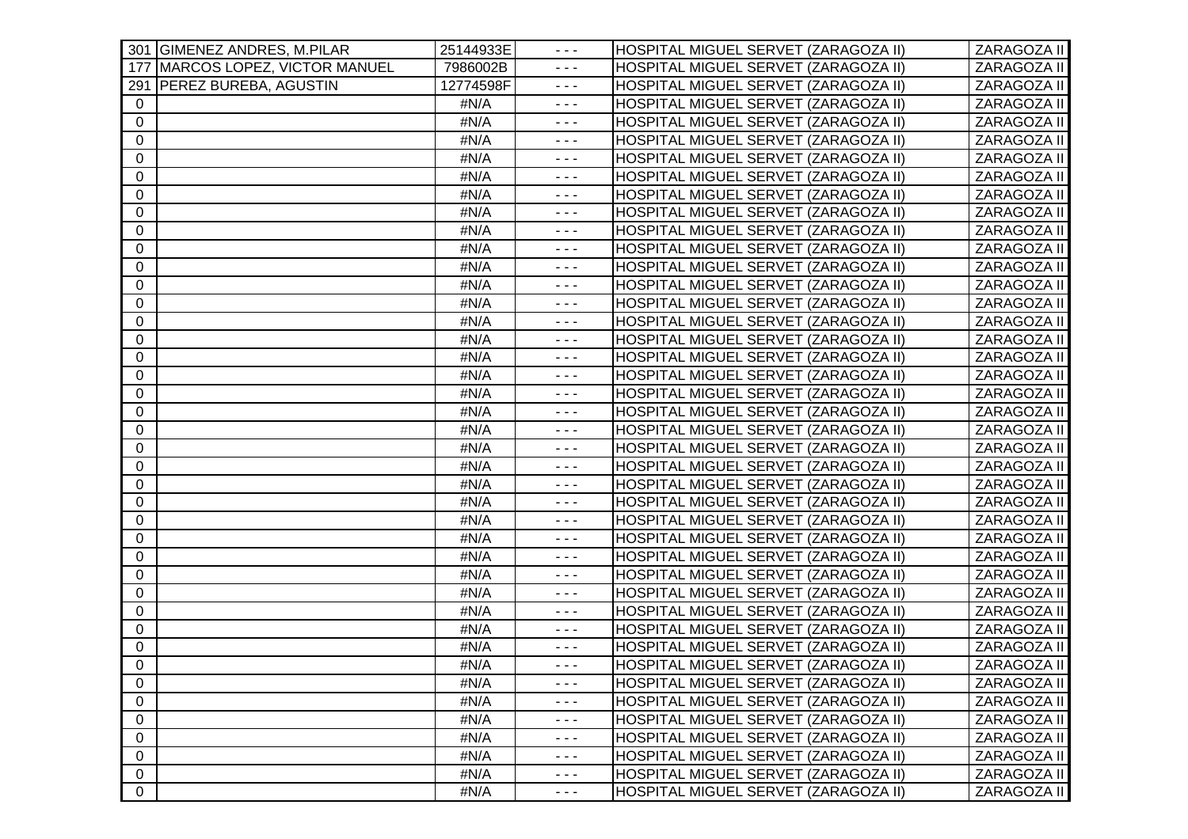| 301 GIMENEZ ANDRES, M.PILAR        | 25144933E | $  -$                                                                                                                                                                                                                                                                                                                                                                                        | HOSPITAL MIGUEL SERVET (ZARAGOZA II) | ZARAGOZA II |
|------------------------------------|-----------|----------------------------------------------------------------------------------------------------------------------------------------------------------------------------------------------------------------------------------------------------------------------------------------------------------------------------------------------------------------------------------------------|--------------------------------------|-------------|
| MARCOS LOPEZ, VICTOR MANUEL<br>177 | 7986002B  | $\sim$ $\sim$ $\sim$                                                                                                                                                                                                                                                                                                                                                                         | HOSPITAL MIGUEL SERVET (ZARAGOZA II) | ZARAGOZA II |
| 291   PEREZ BUREBA, AGUSTIN        | 12774598F | $\sim$ $\sim$ $\sim$                                                                                                                                                                                                                                                                                                                                                                         | HOSPITAL MIGUEL SERVET (ZARAGOZA II) | ZARAGOZA II |
| $\overline{0}$                     | #N/A      | $\sim$ $\sim$ $\sim$                                                                                                                                                                                                                                                                                                                                                                         | HOSPITAL MIGUEL SERVET (ZARAGOZA II) | ZARAGOZA II |
| 0                                  | #N/A      | $\frac{1}{2} \frac{1}{2} \frac{1}{2} \frac{1}{2} \frac{1}{2} \frac{1}{2} \frac{1}{2} \frac{1}{2} \frac{1}{2} \frac{1}{2} \frac{1}{2} \frac{1}{2} \frac{1}{2} \frac{1}{2} \frac{1}{2} \frac{1}{2} \frac{1}{2} \frac{1}{2} \frac{1}{2} \frac{1}{2} \frac{1}{2} \frac{1}{2} \frac{1}{2} \frac{1}{2} \frac{1}{2} \frac{1}{2} \frac{1}{2} \frac{1}{2} \frac{1}{2} \frac{1}{2} \frac{1}{2} \frac{$ | HOSPITAL MIGUEL SERVET (ZARAGOZA II) | ZARAGOZA II |
| $\mathbf 0$                        | #N/A      | $\sim$ $\sim$ $\sim$                                                                                                                                                                                                                                                                                                                                                                         | HOSPITAL MIGUEL SERVET (ZARAGOZA II) | ZARAGOZA II |
| $\Omega$                           | #N/A      | $  -$                                                                                                                                                                                                                                                                                                                                                                                        | HOSPITAL MIGUEL SERVET (ZARAGOZA II) | ZARAGOZA II |
| $\mathbf 0$                        | #N/A      | $  -$                                                                                                                                                                                                                                                                                                                                                                                        | HOSPITAL MIGUEL SERVET (ZARAGOZA II) | ZARAGOZA II |
| $\mathbf 0$                        | #N/A      | $- - -$                                                                                                                                                                                                                                                                                                                                                                                      | HOSPITAL MIGUEL SERVET (ZARAGOZA II) | ZARAGOZA II |
| 0                                  | #N/A      | $\sim$ $\sim$ $\sim$                                                                                                                                                                                                                                                                                                                                                                         | HOSPITAL MIGUEL SERVET (ZARAGOZA II) | ZARAGOZA II |
| 0                                  | #N/A      | $\sim$ $\sim$ $\sim$                                                                                                                                                                                                                                                                                                                                                                         | HOSPITAL MIGUEL SERVET (ZARAGOZA II) | ZARAGOZA II |
| 0                                  | #N/A      | $\frac{1}{2} \frac{1}{2} \frac{1}{2} \frac{1}{2} \frac{1}{2} \frac{1}{2} \frac{1}{2} \frac{1}{2} \frac{1}{2} \frac{1}{2} \frac{1}{2} \frac{1}{2} \frac{1}{2} \frac{1}{2} \frac{1}{2} \frac{1}{2} \frac{1}{2} \frac{1}{2} \frac{1}{2} \frac{1}{2} \frac{1}{2} \frac{1}{2} \frac{1}{2} \frac{1}{2} \frac{1}{2} \frac{1}{2} \frac{1}{2} \frac{1}{2} \frac{1}{2} \frac{1}{2} \frac{1}{2} \frac{$ | HOSPITAL MIGUEL SERVET (ZARAGOZA II) | ZARAGOZA II |
| 0                                  | #N/A      | $\sim$ $\sim$ $\sim$                                                                                                                                                                                                                                                                                                                                                                         | HOSPITAL MIGUEL SERVET (ZARAGOZA II) | ZARAGOZA II |
| $\Omega$                           | #N/A      | $  -$                                                                                                                                                                                                                                                                                                                                                                                        | HOSPITAL MIGUEL SERVET (ZARAGOZA II) | ZARAGOZA II |
| $\mathbf 0$                        | #N/A      | $  -$                                                                                                                                                                                                                                                                                                                                                                                        | HOSPITAL MIGUEL SERVET (ZARAGOZA II) | ZARAGOZA II |
| $\mathbf 0$                        | #N/A      | $  -$                                                                                                                                                                                                                                                                                                                                                                                        | HOSPITAL MIGUEL SERVET (ZARAGOZA II) | ZARAGOZA II |
| 0                                  | #N/A      | $\frac{1}{2} \frac{1}{2} \frac{1}{2} \frac{1}{2} \frac{1}{2} \frac{1}{2} \frac{1}{2} \frac{1}{2} \frac{1}{2} \frac{1}{2} \frac{1}{2} \frac{1}{2} \frac{1}{2} \frac{1}{2} \frac{1}{2} \frac{1}{2} \frac{1}{2} \frac{1}{2} \frac{1}{2} \frac{1}{2} \frac{1}{2} \frac{1}{2} \frac{1}{2} \frac{1}{2} \frac{1}{2} \frac{1}{2} \frac{1}{2} \frac{1}{2} \frac{1}{2} \frac{1}{2} \frac{1}{2} \frac{$ | HOSPITAL MIGUEL SERVET (ZARAGOZA II) | ZARAGOZA II |
| 0                                  | #N/A      | $\sim$ $\sim$ $\sim$                                                                                                                                                                                                                                                                                                                                                                         | HOSPITAL MIGUEL SERVET (ZARAGOZA II) | ZARAGOZA II |
| 0                                  | #N/A      | $  -$                                                                                                                                                                                                                                                                                                                                                                                        | HOSPITAL MIGUEL SERVET (ZARAGOZA II) | ZARAGOZA II |
| 0                                  | #N/A      | $\frac{1}{2} \frac{1}{2} \frac{1}{2} \frac{1}{2} \frac{1}{2} \frac{1}{2} \frac{1}{2} \frac{1}{2} \frac{1}{2} \frac{1}{2} \frac{1}{2} \frac{1}{2} \frac{1}{2} \frac{1}{2} \frac{1}{2} \frac{1}{2} \frac{1}{2} \frac{1}{2} \frac{1}{2} \frac{1}{2} \frac{1}{2} \frac{1}{2} \frac{1}{2} \frac{1}{2} \frac{1}{2} \frac{1}{2} \frac{1}{2} \frac{1}{2} \frac{1}{2} \frac{1}{2} \frac{1}{2} \frac{$ | HOSPITAL MIGUEL SERVET (ZARAGOZA II) | ZARAGOZA II |
| 0                                  | #N/A      | $  -$                                                                                                                                                                                                                                                                                                                                                                                        | HOSPITAL MIGUEL SERVET (ZARAGOZA II) | ZARAGOZA II |
| $\mathbf 0$                        | #N/A      | $  -$                                                                                                                                                                                                                                                                                                                                                                                        | HOSPITAL MIGUEL SERVET (ZARAGOZA II) | ZARAGOZA II |
| $\mathbf 0$                        | #N/A      | $  -$                                                                                                                                                                                                                                                                                                                                                                                        | HOSPITAL MIGUEL SERVET (ZARAGOZA II) | ZARAGOZA II |
| 0                                  | #N/A      | $\frac{1}{2} \frac{1}{2} \frac{1}{2} \frac{1}{2} \frac{1}{2} \frac{1}{2} \frac{1}{2} \frac{1}{2} \frac{1}{2} \frac{1}{2} \frac{1}{2} \frac{1}{2} \frac{1}{2} \frac{1}{2} \frac{1}{2} \frac{1}{2} \frac{1}{2} \frac{1}{2} \frac{1}{2} \frac{1}{2} \frac{1}{2} \frac{1}{2} \frac{1}{2} \frac{1}{2} \frac{1}{2} \frac{1}{2} \frac{1}{2} \frac{1}{2} \frac{1}{2} \frac{1}{2} \frac{1}{2} \frac{$ | HOSPITAL MIGUEL SERVET (ZARAGOZA II) | ZARAGOZA II |
| $\mathbf{0}$                       | #N/A      | $\sim$ $\sim$ $\sim$                                                                                                                                                                                                                                                                                                                                                                         | HOSPITAL MIGUEL SERVET (ZARAGOZA II) | ZARAGOZA II |
| 0                                  | #N/A      | $\sim$ $\sim$ $\sim$                                                                                                                                                                                                                                                                                                                                                                         | HOSPITAL MIGUEL SERVET (ZARAGOZA II) | ZARAGOZA II |
| 0                                  | #N/A      | $\omega \equiv \omega$                                                                                                                                                                                                                                                                                                                                                                       | HOSPITAL MIGUEL SERVET (ZARAGOZA II) | ZARAGOZA II |
| 0                                  | #N/A      | $  -$                                                                                                                                                                                                                                                                                                                                                                                        | HOSPITAL MIGUEL SERVET (ZARAGOZA II) | ZARAGOZA II |
| $\mathbf{0}$                       | #N/A      | $  -$                                                                                                                                                                                                                                                                                                                                                                                        | HOSPITAL MIGUEL SERVET (ZARAGOZA II) | ZARAGOZA II |
| $\mathbf 0$                        | #N/A      | $  -$                                                                                                                                                                                                                                                                                                                                                                                        | HOSPITAL MIGUEL SERVET (ZARAGOZA II) | ZARAGOZA II |
| $\mathbf 0$                        | #N/A      | $\frac{1}{2} \frac{1}{2} \frac{1}{2} \frac{1}{2} \frac{1}{2} \frac{1}{2} \frac{1}{2} \frac{1}{2} \frac{1}{2} \frac{1}{2} \frac{1}{2} \frac{1}{2} \frac{1}{2} \frac{1}{2} \frac{1}{2} \frac{1}{2} \frac{1}{2} \frac{1}{2} \frac{1}{2} \frac{1}{2} \frac{1}{2} \frac{1}{2} \frac{1}{2} \frac{1}{2} \frac{1}{2} \frac{1}{2} \frac{1}{2} \frac{1}{2} \frac{1}{2} \frac{1}{2} \frac{1}{2} \frac{$ | HOSPITAL MIGUEL SERVET (ZARAGOZA II) | ZARAGOZA II |
| $\mathbf{0}$                       | #N/A      | $\sim$ $\sim$ $\sim$                                                                                                                                                                                                                                                                                                                                                                         | HOSPITAL MIGUEL SERVET (ZARAGOZA II) | ZARAGOZA II |
| $\mathbf 0$                        | #N/A      | $\sim$ $\sim$ $\sim$                                                                                                                                                                                                                                                                                                                                                                         | HOSPITAL MIGUEL SERVET (ZARAGOZA II) | ZARAGOZA II |
| $\mathbf 0$                        | #N/A      | $  -$                                                                                                                                                                                                                                                                                                                                                                                        | HOSPITAL MIGUEL SERVET (ZARAGOZA II) | ZARAGOZA II |
| $\mathbf 0$                        | #N/A      | $  -$                                                                                                                                                                                                                                                                                                                                                                                        | HOSPITAL MIGUEL SERVET (ZARAGOZA II) | ZARAGOZA II |
| $\mathbf 0$                        | #N/A      | $  -$                                                                                                                                                                                                                                                                                                                                                                                        | HOSPITAL MIGUEL SERVET (ZARAGOZA II) | ZARAGOZA II |
| $\mathbf 0$                        | #N/A      | - - -                                                                                                                                                                                                                                                                                                                                                                                        | HOSPITAL MIGUEL SERVET (ZARAGOZA II) | ZARAGOZA II |
| $\overline{0}$                     | #N/A      | $\sim$ $\sim$ $\sim$                                                                                                                                                                                                                                                                                                                                                                         | HOSPITAL MIGUEL SERVET (ZARAGOZA II) | ZARAGOZA II |
| $\mathbf 0$                        | #N/A      | $\sim$ $\sim$ $\sim$                                                                                                                                                                                                                                                                                                                                                                         | HOSPITAL MIGUEL SERVET (ZARAGOZA II) | ZARAGOZA II |
| $\mathbf 0$                        | #N/A      | $\frac{1}{2} \frac{1}{2} \frac{1}{2} \frac{1}{2} \frac{1}{2} \frac{1}{2} \frac{1}{2} \frac{1}{2} \frac{1}{2} \frac{1}{2} \frac{1}{2} \frac{1}{2} \frac{1}{2} \frac{1}{2} \frac{1}{2} \frac{1}{2} \frac{1}{2} \frac{1}{2} \frac{1}{2} \frac{1}{2} \frac{1}{2} \frac{1}{2} \frac{1}{2} \frac{1}{2} \frac{1}{2} \frac{1}{2} \frac{1}{2} \frac{1}{2} \frac{1}{2} \frac{1}{2} \frac{1}{2} \frac{$ | HOSPITAL MIGUEL SERVET (ZARAGOZA II) | ZARAGOZA II |
| $\mathbf 0$                        | #N/A      | $\frac{1}{2} \frac{1}{2} \frac{1}{2} \frac{1}{2} \frac{1}{2} \frac{1}{2} \frac{1}{2} \frac{1}{2} \frac{1}{2} \frac{1}{2} \frac{1}{2} \frac{1}{2} \frac{1}{2} \frac{1}{2} \frac{1}{2} \frac{1}{2} \frac{1}{2} \frac{1}{2} \frac{1}{2} \frac{1}{2} \frac{1}{2} \frac{1}{2} \frac{1}{2} \frac{1}{2} \frac{1}{2} \frac{1}{2} \frac{1}{2} \frac{1}{2} \frac{1}{2} \frac{1}{2} \frac{1}{2} \frac{$ | HOSPITAL MIGUEL SERVET (ZARAGOZA II) | ZARAGOZA II |
| $\overline{0}$                     | #N/A      | $\sim$ $\sim$ $\sim$                                                                                                                                                                                                                                                                                                                                                                         | HOSPITAL MIGUEL SERVET (ZARAGOZA II) | ZARAGOZA II |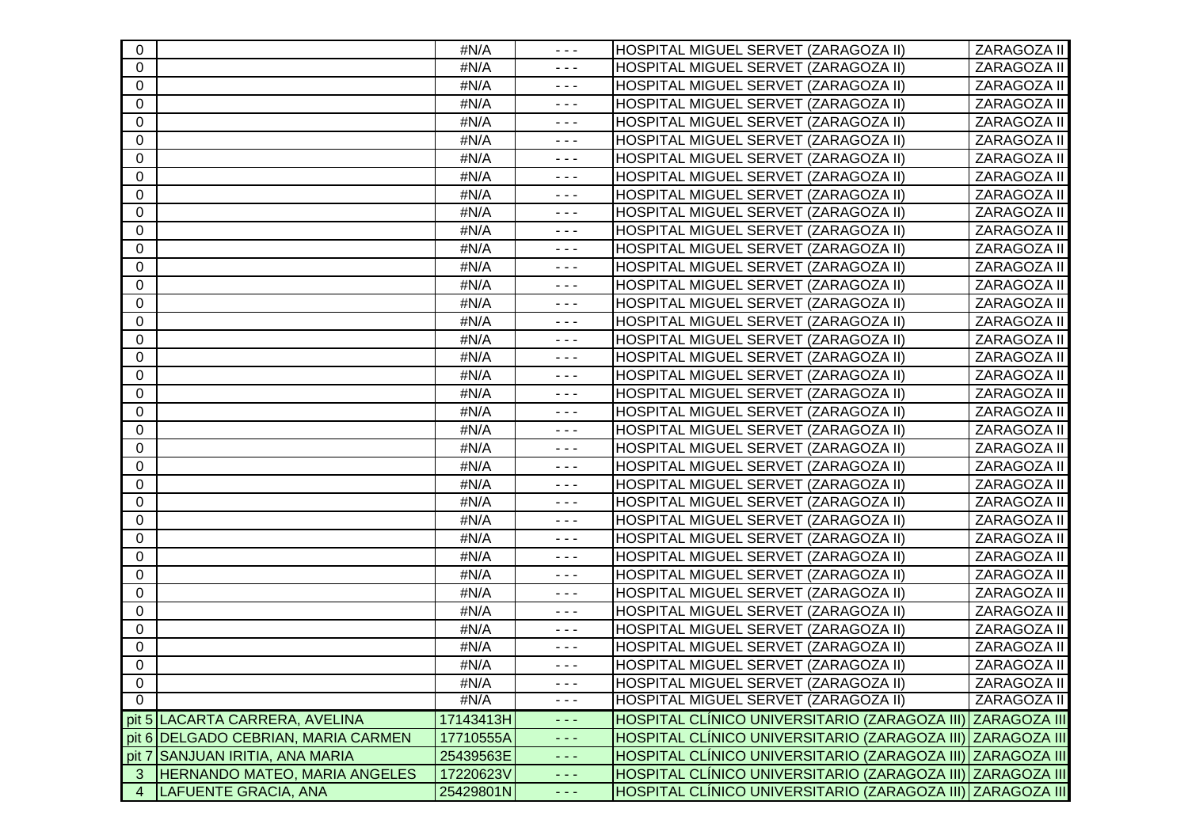| $\mathbf{0}$   |                                       | #N/A      | $  -$                                                                                                                                                                                                                                                                                                                                                                                        | HOSPITAL MIGUEL SERVET (ZARAGOZA II)                       | ZARAGOZA II         |
|----------------|---------------------------------------|-----------|----------------------------------------------------------------------------------------------------------------------------------------------------------------------------------------------------------------------------------------------------------------------------------------------------------------------------------------------------------------------------------------------|------------------------------------------------------------|---------------------|
| $\mathbf 0$    |                                       | #N/A      | $  -$                                                                                                                                                                                                                                                                                                                                                                                        | HOSPITAL MIGUEL SERVET (ZARAGOZA II)                       | ZARAGOZA II         |
| $\mathbf 0$    |                                       | #N/A      | $  -$                                                                                                                                                                                                                                                                                                                                                                                        | HOSPITAL MIGUEL SERVET (ZARAGOZA II)                       | ZARAGOZA II         |
| $\mathbf{0}$   |                                       | #N/A      | $\sim$ $\sim$ $\sim$                                                                                                                                                                                                                                                                                                                                                                         | HOSPITAL MIGUEL SERVET (ZARAGOZA II)                       | ZARAGOZA II         |
| 0              |                                       | #N/A      | $  -$                                                                                                                                                                                                                                                                                                                                                                                        | HOSPITAL MIGUEL SERVET (ZARAGOZA II)                       | ZARAGOZA II         |
| 0              |                                       | #N/A      | $  -$                                                                                                                                                                                                                                                                                                                                                                                        | HOSPITAL MIGUEL SERVET (ZARAGOZA II)                       | ZARAGOZA II         |
| 0              |                                       | #N/A      | $  -$                                                                                                                                                                                                                                                                                                                                                                                        | HOSPITAL MIGUEL SERVET (ZARAGOZA II)                       | ZARAGOZA II         |
| 0              |                                       | #N/A      | $  -$                                                                                                                                                                                                                                                                                                                                                                                        | HOSPITAL MIGUEL SERVET (ZARAGOZA II)                       | ZARAGOZA II         |
| 0              |                                       | #N/A      | $- - -$                                                                                                                                                                                                                                                                                                                                                                                      | HOSPITAL MIGUEL SERVET (ZARAGOZA II)                       | ZARAGOZA II         |
| 0              |                                       | #N/A      | $\frac{1}{2} \frac{1}{2} \frac{1}{2} \frac{1}{2} \frac{1}{2} \frac{1}{2} \frac{1}{2} \frac{1}{2} \frac{1}{2} \frac{1}{2} \frac{1}{2} \frac{1}{2} \frac{1}{2} \frac{1}{2} \frac{1}{2} \frac{1}{2} \frac{1}{2} \frac{1}{2} \frac{1}{2} \frac{1}{2} \frac{1}{2} \frac{1}{2} \frac{1}{2} \frac{1}{2} \frac{1}{2} \frac{1}{2} \frac{1}{2} \frac{1}{2} \frac{1}{2} \frac{1}{2} \frac{1}{2} \frac{$ | HOSPITAL MIGUEL SERVET (ZARAGOZA II)                       | ZARAGOZA II         |
| $\Omega$       |                                       | #N/A      | $\sim$ $\sim$ $\sim$                                                                                                                                                                                                                                                                                                                                                                         | HOSPITAL MIGUEL SERVET (ZARAGOZA II)                       | ZARAGOZA II         |
| 0              |                                       | #N/A      | $\sim$ $\sim$ $\sim$                                                                                                                                                                                                                                                                                                                                                                         | HOSPITAL MIGUEL SERVET (ZARAGOZA II)                       | ZARAGOZA II         |
| $\mathbf 0$    |                                       | #N/A      | $\sim$ $\sim$ $\sim$                                                                                                                                                                                                                                                                                                                                                                         | HOSPITAL MIGUEL SERVET (ZARAGOZA II)                       | ZARAGOZA II         |
| 0              |                                       | #N/A      | $  -$                                                                                                                                                                                                                                                                                                                                                                                        | HOSPITAL MIGUEL SERVET (ZARAGOZA II)                       | ZARAGOZA II         |
| $\mathbf{0}$   |                                       | #N/A      | $  -$                                                                                                                                                                                                                                                                                                                                                                                        | HOSPITAL MIGUEL SERVET (ZARAGOZA II)                       | ZARAGOZA II         |
| 0              |                                       | #N/A      | $  -$                                                                                                                                                                                                                                                                                                                                                                                        | HOSPITAL MIGUEL SERVET (ZARAGOZA II)                       | ZARAGOZA II         |
| $\mathbf 0$    |                                       | #N/A      | $\frac{1}{2} \frac{1}{2} \frac{1}{2} \frac{1}{2} \frac{1}{2} \frac{1}{2} \frac{1}{2} \frac{1}{2} \frac{1}{2} \frac{1}{2} \frac{1}{2} \frac{1}{2} \frac{1}{2} \frac{1}{2} \frac{1}{2} \frac{1}{2} \frac{1}{2} \frac{1}{2} \frac{1}{2} \frac{1}{2} \frac{1}{2} \frac{1}{2} \frac{1}{2} \frac{1}{2} \frac{1}{2} \frac{1}{2} \frac{1}{2} \frac{1}{2} \frac{1}{2} \frac{1}{2} \frac{1}{2} \frac{$ | HOSPITAL MIGUEL SERVET (ZARAGOZA II)                       | ZARAGOZA II         |
| $\Omega$       |                                       | #N/A      | $\sim$ $\sim$ $\sim$                                                                                                                                                                                                                                                                                                                                                                         | HOSPITAL MIGUEL SERVET (ZARAGOZA II)                       | ZARAGOZA II         |
| $\mathbf 0$    |                                       | #N/A      | $  -$                                                                                                                                                                                                                                                                                                                                                                                        | HOSPITAL MIGUEL SERVET (ZARAGOZA II)                       | ZARAGOZA II         |
| $\mathbf 0$    |                                       | #N/A      | $  -$                                                                                                                                                                                                                                                                                                                                                                                        | HOSPITAL MIGUEL SERVET (ZARAGOZA II)                       | ZARAGOZA II         |
| $\mathbf 0$    |                                       | #N/A      | $\frac{1}{2} \frac{1}{2} \frac{1}{2} \frac{1}{2} \frac{1}{2} \frac{1}{2} \frac{1}{2} \frac{1}{2} \frac{1}{2} \frac{1}{2} \frac{1}{2} \frac{1}{2} \frac{1}{2} \frac{1}{2} \frac{1}{2} \frac{1}{2} \frac{1}{2} \frac{1}{2} \frac{1}{2} \frac{1}{2} \frac{1}{2} \frac{1}{2} \frac{1}{2} \frac{1}{2} \frac{1}{2} \frac{1}{2} \frac{1}{2} \frac{1}{2} \frac{1}{2} \frac{1}{2} \frac{1}{2} \frac{$ | HOSPITAL MIGUEL SERVET (ZARAGOZA II)                       | ZARAGOZA II         |
| 0              |                                       | #N/A      | $  -$                                                                                                                                                                                                                                                                                                                                                                                        | HOSPITAL MIGUEL SERVET (ZARAGOZA II)                       | ZARAGOZA II         |
| 0              |                                       | #N/A      | $  -$                                                                                                                                                                                                                                                                                                                                                                                        | HOSPITAL MIGUEL SERVET (ZARAGOZA II)                       | ZARAGOZA II         |
| 0              |                                       | #N/A      | $\frac{1}{2} \frac{1}{2} \frac{1}{2} \frac{1}{2} \frac{1}{2} \frac{1}{2} \frac{1}{2} \frac{1}{2} \frac{1}{2} \frac{1}{2} \frac{1}{2} \frac{1}{2} \frac{1}{2} \frac{1}{2} \frac{1}{2} \frac{1}{2} \frac{1}{2} \frac{1}{2} \frac{1}{2} \frac{1}{2} \frac{1}{2} \frac{1}{2} \frac{1}{2} \frac{1}{2} \frac{1}{2} \frac{1}{2} \frac{1}{2} \frac{1}{2} \frac{1}{2} \frac{1}{2} \frac{1}{2} \frac{$ | HOSPITAL MIGUEL SERVET (ZARAGOZA II)                       | ZARAGOZA II         |
| 0              |                                       | #N/A      | $\frac{1}{2} \frac{1}{2} \frac{1}{2} \frac{1}{2} \frac{1}{2} \frac{1}{2} \frac{1}{2} \frac{1}{2} \frac{1}{2} \frac{1}{2} \frac{1}{2} \frac{1}{2} \frac{1}{2} \frac{1}{2} \frac{1}{2} \frac{1}{2} \frac{1}{2} \frac{1}{2} \frac{1}{2} \frac{1}{2} \frac{1}{2} \frac{1}{2} \frac{1}{2} \frac{1}{2} \frac{1}{2} \frac{1}{2} \frac{1}{2} \frac{1}{2} \frac{1}{2} \frac{1}{2} \frac{1}{2} \frac{$ | HOSPITAL MIGUEL SERVET (ZARAGOZA II)                       | ZARAGOZA II         |
| 0              |                                       | #N/A      | $  -$                                                                                                                                                                                                                                                                                                                                                                                        | HOSPITAL MIGUEL SERVET (ZARAGOZA II)                       | ZARAGOZA II         |
| $\mathbf 0$    |                                       | #N/A      | $  -$                                                                                                                                                                                                                                                                                                                                                                                        | HOSPITAL MIGUEL SERVET (ZARAGOZA II)                       | ZARAGOZA II         |
| $\mathbf 0$    |                                       | #N/A      | $\sim$ $\sim$ $\sim$                                                                                                                                                                                                                                                                                                                                                                         | HOSPITAL MIGUEL SERVET (ZARAGOZA II)                       | ZARAGOZA II         |
| $\Omega$       |                                       | #N/A      | $  -$                                                                                                                                                                                                                                                                                                                                                                                        | HOSPITAL MIGUEL SERVET (ZARAGOZA II)                       | ZARAGOZA II         |
| 0              |                                       | #N/A      | $  -$                                                                                                                                                                                                                                                                                                                                                                                        | HOSPITAL MIGUEL SERVET (ZARAGOZA II)                       | ZARAGOZA II         |
| 0              |                                       | #N/A      | $\frac{1}{2} \frac{1}{2} \frac{1}{2} \frac{1}{2} \frac{1}{2} \frac{1}{2} \frac{1}{2} \frac{1}{2} \frac{1}{2} \frac{1}{2} \frac{1}{2} \frac{1}{2} \frac{1}{2} \frac{1}{2} \frac{1}{2} \frac{1}{2} \frac{1}{2} \frac{1}{2} \frac{1}{2} \frac{1}{2} \frac{1}{2} \frac{1}{2} \frac{1}{2} \frac{1}{2} \frac{1}{2} \frac{1}{2} \frac{1}{2} \frac{1}{2} \frac{1}{2} \frac{1}{2} \frac{1}{2} \frac{$ | HOSPITAL MIGUEL SERVET (ZARAGOZA II)                       | ZARAGOZA II         |
| 0              |                                       | #N/A      | $\frac{1}{2} \frac{1}{2} \frac{1}{2} \frac{1}{2} \frac{1}{2} \frac{1}{2} \frac{1}{2} \frac{1}{2} \frac{1}{2} \frac{1}{2} \frac{1}{2} \frac{1}{2} \frac{1}{2} \frac{1}{2} \frac{1}{2} \frac{1}{2} \frac{1}{2} \frac{1}{2} \frac{1}{2} \frac{1}{2} \frac{1}{2} \frac{1}{2} \frac{1}{2} \frac{1}{2} \frac{1}{2} \frac{1}{2} \frac{1}{2} \frac{1}{2} \frac{1}{2} \frac{1}{2} \frac{1}{2} \frac{$ | HOSPITAL MIGUEL SERVET (ZARAGOZA II)                       | ZARAGOZA II         |
| 0              |                                       | #N/A      | $\sim$ $\sim$ $\sim$                                                                                                                                                                                                                                                                                                                                                                         | HOSPITAL MIGUEL SERVET (ZARAGOZA II)                       | ZARAGOZA II         |
| $\mathbf 0$    |                                       | #N/A      | $  -$                                                                                                                                                                                                                                                                                                                                                                                        | HOSPITAL MIGUEL SERVET (ZARAGOZA II)                       | ZARAGOZA II         |
| $\mathbf 0$    |                                       | #N/A      | $\sim$ $\sim$ $\sim$                                                                                                                                                                                                                                                                                                                                                                         | HOSPITAL MIGUEL SERVET (ZARAGOZA II)                       | ZARAGOZA II         |
| $\overline{0}$ |                                       | #N/A      | $\frac{1}{2} \left( \frac{1}{2} \right) \frac{1}{2} \left( \frac{1}{2} \right)$                                                                                                                                                                                                                                                                                                              | HOSPITAL MIGUEL SERVET (ZARAGOZA II)                       | ZARAGOZA II         |
| $\overline{0}$ |                                       | #N/A      | $- - -$                                                                                                                                                                                                                                                                                                                                                                                      | HOSPITAL MIGUEL SERVET (ZARAGOZA II)                       | ZARAGOZA II         |
|                | pit 5   LACARTA CARRERA, AVELINA      | 17143413H | $\frac{1}{2} \frac{1}{2} \frac{1}{2} \frac{1}{2} \frac{1}{2} \frac{1}{2} \frac{1}{2} \frac{1}{2} \frac{1}{2} \frac{1}{2} \frac{1}{2} \frac{1}{2} \frac{1}{2} \frac{1}{2} \frac{1}{2} \frac{1}{2} \frac{1}{2} \frac{1}{2} \frac{1}{2} \frac{1}{2} \frac{1}{2} \frac{1}{2} \frac{1}{2} \frac{1}{2} \frac{1}{2} \frac{1}{2} \frac{1}{2} \frac{1}{2} \frac{1}{2} \frac{1}{2} \frac{1}{2} \frac{$ | HOSPITAL CLÍNICO UNIVERSITARIO (ZARAGOZA III)              | <b>ZARAGOZA III</b> |
|                | pit 6   DELGADO CEBRIAN, MARIA CARMEN | 17710555A | $- - -$                                                                                                                                                                                                                                                                                                                                                                                      | HOSPITAL CLÍNICO UNIVERSITARIO (ZARAGOZA III)              | <b>ZARAGOZA III</b> |
|                | pit 7 SANJUAN IRITIA, ANA MARIA       | 25439563E | $\frac{1}{2} \frac{1}{2} \frac{1}{2} \frac{1}{2} \frac{1}{2} \frac{1}{2} \frac{1}{2} \frac{1}{2} \frac{1}{2} \frac{1}{2} \frac{1}{2} \frac{1}{2} \frac{1}{2} \frac{1}{2} \frac{1}{2} \frac{1}{2} \frac{1}{2} \frac{1}{2} \frac{1}{2} \frac{1}{2} \frac{1}{2} \frac{1}{2} \frac{1}{2} \frac{1}{2} \frac{1}{2} \frac{1}{2} \frac{1}{2} \frac{1}{2} \frac{1}{2} \frac{1}{2} \frac{1}{2} \frac{$ | HOSPITAL CLÍNICO UNIVERSITARIO (ZARAGOZA III) ZARAGOZA III |                     |
| 3              | <b>HERNANDO MATEO, MARIA ANGELES</b>  | 17220623V | - - -                                                                                                                                                                                                                                                                                                                                                                                        | HOSPITAL CLÍNICO UNIVERSITARIO (ZARAGOZA III) ZARAGOZA III |                     |
| 4              | <b>LAFUENTE GRACIA, ANA</b>           | 25429801N | $\sim$ $\sim$ $\sim$                                                                                                                                                                                                                                                                                                                                                                         | HOSPITAL CLÍNICO UNIVERSITARIO (ZARAGOZA III) ZARAGOZA III |                     |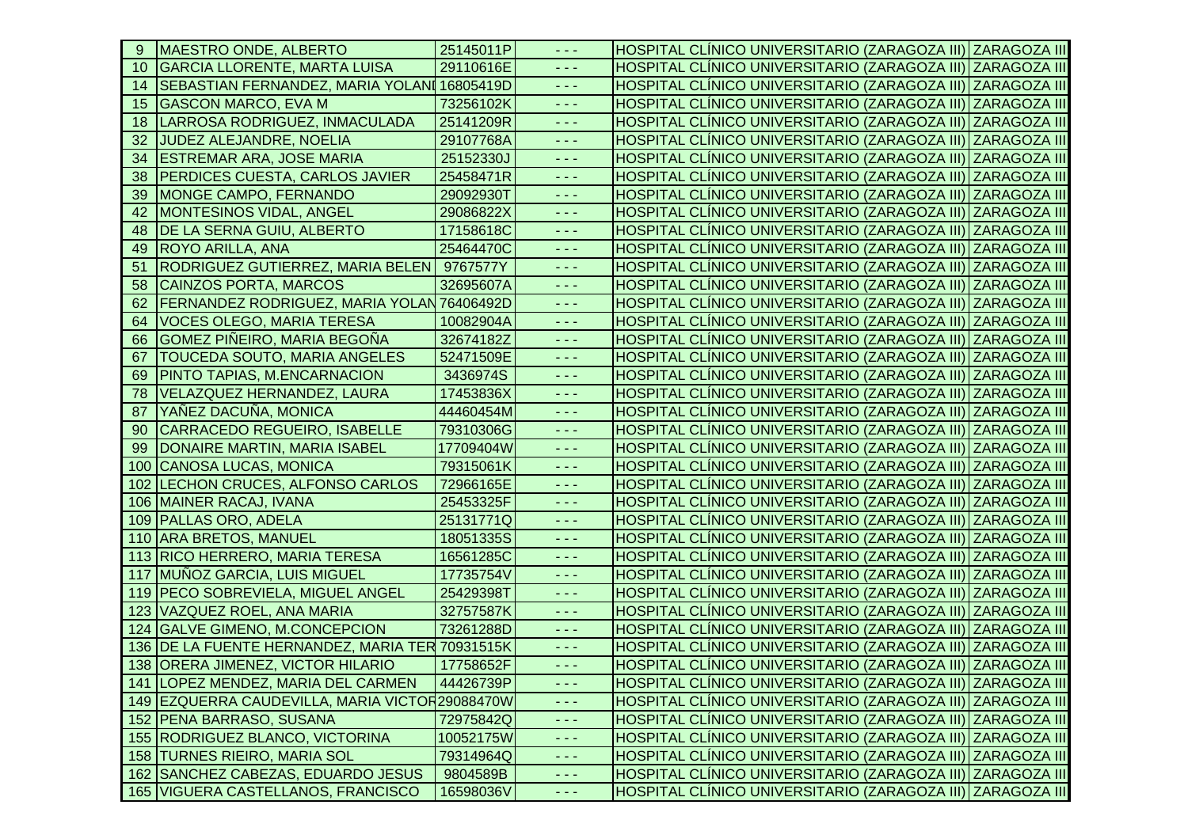| -9  | <b>MAESTRO ONDE, ALBERTO</b>                      | 25145011P | - - -                                                                                                                                                                                                                                                                                                                                                                                        | HOSPITAL CLÍNICO UNIVERSITARIO (ZARAGOZA III) ZARAGOZA III |  |
|-----|---------------------------------------------------|-----------|----------------------------------------------------------------------------------------------------------------------------------------------------------------------------------------------------------------------------------------------------------------------------------------------------------------------------------------------------------------------------------------------|------------------------------------------------------------|--|
| 10  | <b>GARCIA LLORENTE, MARTA LUISA</b>               | 29110616E | - - -                                                                                                                                                                                                                                                                                                                                                                                        | HOSPITAL CLÍNICO UNIVERSITARIO (ZARAGOZA III) ZARAGOZA III |  |
| 14  | SEBASTIAN FERNANDEZ, MARIA YOLANI 16805419D       |           | $\frac{1}{2} \frac{1}{2} \frac{1}{2} \frac{1}{2} \frac{1}{2} \frac{1}{2} \frac{1}{2} \frac{1}{2} \frac{1}{2} \frac{1}{2} \frac{1}{2} \frac{1}{2} \frac{1}{2} \frac{1}{2} \frac{1}{2} \frac{1}{2} \frac{1}{2} \frac{1}{2} \frac{1}{2} \frac{1}{2} \frac{1}{2} \frac{1}{2} \frac{1}{2} \frac{1}{2} \frac{1}{2} \frac{1}{2} \frac{1}{2} \frac{1}{2} \frac{1}{2} \frac{1}{2} \frac{1}{2} \frac{$ | HOSPITAL CLÍNICO UNIVERSITARIO (ZARAGOZA III) ZARAGOZA III |  |
|     | 15 GASCON MARCO, EVA M                            | 73256102K | د د د                                                                                                                                                                                                                                                                                                                                                                                        | HOSPITAL CLÍNICO UNIVERSITARIO (ZARAGOZA III) ZARAGOZA III |  |
| 18  | LARROSA RODRIGUEZ, INMACULADA                     | 25141209R | $\sim$ $\sim$ $\sim$                                                                                                                                                                                                                                                                                                                                                                         | HOSPITAL CLÍNICO UNIVERSITARIO (ZARAGOZA III) ZARAGOZA III |  |
| 32  | JUDEZ ALEJANDRE, NOELIA                           | 29107768A | $\frac{1}{2} \frac{1}{2} \frac{1}{2} \frac{1}{2} \frac{1}{2} \frac{1}{2} \frac{1}{2} \frac{1}{2} \frac{1}{2} \frac{1}{2} \frac{1}{2} \frac{1}{2} \frac{1}{2} \frac{1}{2} \frac{1}{2} \frac{1}{2} \frac{1}{2} \frac{1}{2} \frac{1}{2} \frac{1}{2} \frac{1}{2} \frac{1}{2} \frac{1}{2} \frac{1}{2} \frac{1}{2} \frac{1}{2} \frac{1}{2} \frac{1}{2} \frac{1}{2} \frac{1}{2} \frac{1}{2} \frac{$ | HOSPITAL CLÍNICO UNIVERSITARIO (ZARAGOZA III) ZARAGOZA III |  |
| 34  | <b>ESTREMAR ARA, JOSE MARIA</b>                   | 25152330J | $\omega_{\rm{eff}}$ and $\omega_{\rm{eff}}$                                                                                                                                                                                                                                                                                                                                                  | HOSPITAL CLÍNICO UNIVERSITARIO (ZARAGOZA III) ZARAGOZA III |  |
| 38  | <b>PERDICES CUESTA, CARLOS JAVIER</b>             | 25458471R | $  -$                                                                                                                                                                                                                                                                                                                                                                                        | HOSPITAL CLÍNICO UNIVERSITARIO (ZARAGOZA III) ZARAGOZA III |  |
| 39  | <b>MONGE CAMPO, FERNANDO</b>                      | 29092930T | - - -                                                                                                                                                                                                                                                                                                                                                                                        | HOSPITAL CLÍNICO UNIVERSITARIO (ZARAGOZA III) ZARAGOZA III |  |
| 42  | <b>MONTESINOS VIDAL, ANGEL</b>                    | 29086822X | $\frac{1}{2} \frac{1}{2} \frac{1}{2} \frac{1}{2} \frac{1}{2} \frac{1}{2} \frac{1}{2} \frac{1}{2} \frac{1}{2} \frac{1}{2} \frac{1}{2} \frac{1}{2} \frac{1}{2} \frac{1}{2} \frac{1}{2} \frac{1}{2} \frac{1}{2} \frac{1}{2} \frac{1}{2} \frac{1}{2} \frac{1}{2} \frac{1}{2} \frac{1}{2} \frac{1}{2} \frac{1}{2} \frac{1}{2} \frac{1}{2} \frac{1}{2} \frac{1}{2} \frac{1}{2} \frac{1}{2} \frac{$ | HOSPITAL CLINICO UNIVERSITARIO (ZARAGOZA III) ZARAGOZA III |  |
| 48  | <b>DE LA SERNA GUIU, ALBERTO</b>                  | 17158618C | د د د                                                                                                                                                                                                                                                                                                                                                                                        | HOSPITAL CLÍNICO UNIVERSITARIO (ZARAGOZA III) ZARAGOZA III |  |
| 49  | <b>ROYO ARILLA, ANA</b>                           | 25464470C | د د د                                                                                                                                                                                                                                                                                                                                                                                        | HOSPITAL CLÍNICO UNIVERSITARIO (ZARAGOZA III) ZARAGOZA III |  |
| 51  | RODRIGUEZ GUTIERREZ, MARIA BELEN 9767577Y         |           | $\omega_{\rm{eff}}$ and $\omega_{\rm{eff}}$                                                                                                                                                                                                                                                                                                                                                  | HOSPITAL CLÍNICO UNIVERSITARIO (ZARAGOZA III) ZARAGOZA III |  |
| 58  | <b>CAINZOS PORTA, MARCOS</b>                      | 32695607A | $  -$                                                                                                                                                                                                                                                                                                                                                                                        | HOSPITAL CLÍNICO UNIVERSITARIO (ZARAGOZA III) ZARAGOZA III |  |
| 62  | <b>FERNANDEZ RODRIGUEZ, MARIA YOLAN 76406492D</b> |           | $  -$                                                                                                                                                                                                                                                                                                                                                                                        | HOSPITAL CLÍNICO UNIVERSITARIO (ZARAGOZA III) ZARAGOZA III |  |
| 64  | <b>VOCES OLEGO, MARIA TERESA</b>                  | 10082904A | - - -                                                                                                                                                                                                                                                                                                                                                                                        | HOSPITAL CLÍNICO UNIVERSITARIO (ZARAGOZA III) ZARAGOZA III |  |
| 66  | <b>GOMEZ PIÑEIRO, MARIA BEGOÑA</b>                | 32674182Z | $\frac{1}{2} \frac{1}{2} \frac{1}{2} \frac{1}{2} \frac{1}{2} \frac{1}{2} \frac{1}{2} \frac{1}{2} \frac{1}{2} \frac{1}{2} \frac{1}{2} \frac{1}{2} \frac{1}{2} \frac{1}{2} \frac{1}{2} \frac{1}{2} \frac{1}{2} \frac{1}{2} \frac{1}{2} \frac{1}{2} \frac{1}{2} \frac{1}{2} \frac{1}{2} \frac{1}{2} \frac{1}{2} \frac{1}{2} \frac{1}{2} \frac{1}{2} \frac{1}{2} \frac{1}{2} \frac{1}{2} \frac{$ | HOSPITAL CLÍNICO UNIVERSITARIO (ZARAGOZA III) ZARAGOZA III |  |
| 67  | <b>TOUCEDA SOUTO, MARIA ANGELES</b>               | 52471509E | د د د                                                                                                                                                                                                                                                                                                                                                                                        | HOSPITAL CLÍNICO UNIVERSITARIO (ZARAGOZA III) ZARAGOZA III |  |
| 69  | <b>PINTO TAPIAS, M.ENCARNACION</b>                | 3436974S  | $\omega_{\rm{eff}}$ and $\omega_{\rm{eff}}$                                                                                                                                                                                                                                                                                                                                                  | HOSPITAL CLÍNICO UNIVERSITARIO (ZARAGOZA III) ZARAGOZA III |  |
| 78  | <b>VELAZQUEZ HERNANDEZ, LAURA</b>                 | 17453836X | $  -$                                                                                                                                                                                                                                                                                                                                                                                        | HOSPITAL CLÍNICO UNIVERSITARIO (ZARAGOZA III) ZARAGOZA III |  |
| 87  | YAÑEZ DACUÑA, MONICA                              | 44460454M | $\frac{1}{2} \frac{1}{2} \frac{1}{2} \frac{1}{2} \frac{1}{2} \frac{1}{2} \frac{1}{2} \frac{1}{2} \frac{1}{2} \frac{1}{2} \frac{1}{2} \frac{1}{2} \frac{1}{2} \frac{1}{2} \frac{1}{2} \frac{1}{2} \frac{1}{2} \frac{1}{2} \frac{1}{2} \frac{1}{2} \frac{1}{2} \frac{1}{2} \frac{1}{2} \frac{1}{2} \frac{1}{2} \frac{1}{2} \frac{1}{2} \frac{1}{2} \frac{1}{2} \frac{1}{2} \frac{1}{2} \frac{$ | HOSPITAL CLÍNICO UNIVERSITARIO (ZARAGOZA III) ZARAGOZA III |  |
| 90  | CARRACEDO REGUEIRO, ISABELLE                      | 79310306G | $  -$                                                                                                                                                                                                                                                                                                                                                                                        | HOSPITAL CLÍNICO UNIVERSITARIO (ZARAGOZA III) ZARAGOZA III |  |
| -99 | DONAIRE MARTIN, MARIA ISABEL                      | 17709404W | - - -                                                                                                                                                                                                                                                                                                                                                                                        | HOSPITAL CLÍNICO UNIVERSITARIO (ZARAGOZA III) ZARAGOZA III |  |
| 100 | CANOSA LUCAS, MONICA                              | 79315061K | $  -$                                                                                                                                                                                                                                                                                                                                                                                        | HOSPITAL CLINICO UNIVERSITARIO (ZARAGOZA III) ZARAGOZA III |  |
|     | 102 LECHON CRUCES, ALFONSO CARLOS                 | 72966165E | $\frac{1}{2} \frac{1}{2} \frac{1}{2} \frac{1}{2} \frac{1}{2} \frac{1}{2} \frac{1}{2} \frac{1}{2} \frac{1}{2} \frac{1}{2} \frac{1}{2} \frac{1}{2} \frac{1}{2} \frac{1}{2} \frac{1}{2} \frac{1}{2} \frac{1}{2} \frac{1}{2} \frac{1}{2} \frac{1}{2} \frac{1}{2} \frac{1}{2} \frac{1}{2} \frac{1}{2} \frac{1}{2} \frac{1}{2} \frac{1}{2} \frac{1}{2} \frac{1}{2} \frac{1}{2} \frac{1}{2} \frac{$ | HOSPITAL CLINICO UNIVERSITARIO (ZARAGOZA III) ZARAGOZA III |  |
|     | 106 MAINER RACAJ, IVANA                           | 25453325F | د د د                                                                                                                                                                                                                                                                                                                                                                                        | HOSPITAL CLÍNICO UNIVERSITARIO (ZARAGOZA III) ZARAGOZA III |  |
|     | 109 PALLAS ORO, ADELA                             | 25131771Q | $\omega_{\rm{eff}}$ and $\omega_{\rm{eff}}$                                                                                                                                                                                                                                                                                                                                                  | HOSPITAL CLÍNICO UNIVERSITARIO (ZARAGOZA III) ZARAGOZA III |  |
|     | 110 ARA BRETOS, MANUEL                            | 18051335S | $\frac{1}{2} \frac{1}{2} \frac{1}{2} \frac{1}{2} \frac{1}{2} \frac{1}{2} \frac{1}{2} \frac{1}{2} \frac{1}{2} \frac{1}{2} \frac{1}{2} \frac{1}{2} \frac{1}{2} \frac{1}{2} \frac{1}{2} \frac{1}{2} \frac{1}{2} \frac{1}{2} \frac{1}{2} \frac{1}{2} \frac{1}{2} \frac{1}{2} \frac{1}{2} \frac{1}{2} \frac{1}{2} \frac{1}{2} \frac{1}{2} \frac{1}{2} \frac{1}{2} \frac{1}{2} \frac{1}{2} \frac{$ | HOSPITAL CLÍNICO UNIVERSITARIO (ZARAGOZA III) ZARAGOZA III |  |
|     | 113 RICO HERRERO, MARIA TERESA                    | 16561285C | $  -$                                                                                                                                                                                                                                                                                                                                                                                        | HOSPITAL CLÍNICO UNIVERSITARIO (ZARAGOZA III) ZARAGOZA III |  |
|     | 117 MUÑOZ GARCIA, LUIS MIGUEL                     | 17735754V | - - -                                                                                                                                                                                                                                                                                                                                                                                        | HOSPITAL CLÍNICO UNIVERSITARIO (ZARAGOZA III) ZARAGOZA III |  |
|     | 119   PECO SOBREVIELA, MIGUEL ANGEL               | 25429398T | $\frac{1}{2} \frac{1}{2} \frac{1}{2} \frac{1}{2} \frac{1}{2} \frac{1}{2} \frac{1}{2} \frac{1}{2} \frac{1}{2} \frac{1}{2} \frac{1}{2} \frac{1}{2} \frac{1}{2} \frac{1}{2} \frac{1}{2} \frac{1}{2} \frac{1}{2} \frac{1}{2} \frac{1}{2} \frac{1}{2} \frac{1}{2} \frac{1}{2} \frac{1}{2} \frac{1}{2} \frac{1}{2} \frac{1}{2} \frac{1}{2} \frac{1}{2} \frac{1}{2} \frac{1}{2} \frac{1}{2} \frac{$ | HOSPITAL CLÍNICO UNIVERSITARIO (ZARAGOZA III) ZARAGOZA III |  |
|     | 123 VAZQUEZ ROEL, ANA MARIA                       | 32757587K | $\frac{1}{2} \frac{1}{2} \frac{1}{2} \frac{1}{2} \frac{1}{2} \frac{1}{2} \frac{1}{2} \frac{1}{2} \frac{1}{2} \frac{1}{2} \frac{1}{2} \frac{1}{2} \frac{1}{2} \frac{1}{2} \frac{1}{2} \frac{1}{2} \frac{1}{2} \frac{1}{2} \frac{1}{2} \frac{1}{2} \frac{1}{2} \frac{1}{2} \frac{1}{2} \frac{1}{2} \frac{1}{2} \frac{1}{2} \frac{1}{2} \frac{1}{2} \frac{1}{2} \frac{1}{2} \frac{1}{2} \frac{$ | HOSPITAL CLÍNICO UNIVERSITARIO (ZARAGOZA III) ZARAGOZA III |  |
|     | 124 GALVE GIMENO, M.CONCEPCION                    | 73261288D | $\frac{1}{2} \frac{1}{2} \frac{1}{2} \frac{1}{2} \frac{1}{2} \frac{1}{2} \frac{1}{2} \frac{1}{2} \frac{1}{2} \frac{1}{2} \frac{1}{2} \frac{1}{2} \frac{1}{2} \frac{1}{2} \frac{1}{2} \frac{1}{2} \frac{1}{2} \frac{1}{2} \frac{1}{2} \frac{1}{2} \frac{1}{2} \frac{1}{2} \frac{1}{2} \frac{1}{2} \frac{1}{2} \frac{1}{2} \frac{1}{2} \frac{1}{2} \frac{1}{2} \frac{1}{2} \frac{1}{2} \frac{$ | HOSPITAL CLÍNICO UNIVERSITARIO (ZARAGOZA III) ZARAGOZA III |  |
|     | 136 DE LA FUENTE HERNANDEZ, MARIA TER 70931515K   |           | $  -$                                                                                                                                                                                                                                                                                                                                                                                        | HOSPITAL CLÍNICO UNIVERSITARIO (ZARAGOZA III) ZARAGOZA III |  |
|     | 138 ORERA JIMENEZ, VICTOR HILARIO                 | 17758652F | $\omega_{\rm{eff}}$ and $\omega_{\rm{eff}}$                                                                                                                                                                                                                                                                                                                                                  | HOSPITAL CLÍNICO UNIVERSITARIO (ZARAGOZA III) ZARAGOZA III |  |
|     | 141 LOPEZ MENDEZ, MARIA DEL CARMEN                | 44426739P | $\frac{1}{2} \frac{1}{2} \frac{1}{2} \frac{1}{2} \frac{1}{2} \frac{1}{2} \frac{1}{2} \frac{1}{2} \frac{1}{2} \frac{1}{2} \frac{1}{2} \frac{1}{2} \frac{1}{2} \frac{1}{2} \frac{1}{2} \frac{1}{2} \frac{1}{2} \frac{1}{2} \frac{1}{2} \frac{1}{2} \frac{1}{2} \frac{1}{2} \frac{1}{2} \frac{1}{2} \frac{1}{2} \frac{1}{2} \frac{1}{2} \frac{1}{2} \frac{1}{2} \frac{1}{2} \frac{1}{2} \frac{$ | HOSPITAL CLINICO UNIVERSITARIO (ZARAGOZA III) ZARAGOZA III |  |
|     | 149 EZQUERRA CAUDEVILLA, MARIA VICTOR 29088470W   |           | - - -                                                                                                                                                                                                                                                                                                                                                                                        | HOSPITAL CLÍNICO UNIVERSITARIO (ZARAGOZA III) ZARAGOZA III |  |
|     | 152 PENA BARRASO, SUSANA                          | 72975842Q | $  -$                                                                                                                                                                                                                                                                                                                                                                                        | HOSPITAL CLÍNICO UNIVERSITARIO (ZARAGOZA III) ZARAGOZA III |  |
|     | 155 RODRIGUEZ BLANCO, VICTORINA                   | 10052175W | $\sim$ $ -$                                                                                                                                                                                                                                                                                                                                                                                  | HOSPITAL CLÍNICO UNIVERSITARIO (ZARAGOZA III) ZARAGOZA III |  |
|     | 158 TURNES RIEIRO, MARIA SOL                      | 79314964Q | $  -$                                                                                                                                                                                                                                                                                                                                                                                        | HOSPITAL CLÍNICO UNIVERSITARIO (ZARAGOZA III) ZARAGOZA III |  |
|     | 162 SANCHEZ CABEZAS, EDUARDO JESUS                | 9804589B  | $\frac{1}{2} \frac{1}{2} \frac{1}{2} \frac{1}{2} \frac{1}{2} \frac{1}{2} \frac{1}{2} \frac{1}{2} \frac{1}{2} \frac{1}{2} \frac{1}{2} \frac{1}{2} \frac{1}{2} \frac{1}{2} \frac{1}{2} \frac{1}{2} \frac{1}{2} \frac{1}{2} \frac{1}{2} \frac{1}{2} \frac{1}{2} \frac{1}{2} \frac{1}{2} \frac{1}{2} \frac{1}{2} \frac{1}{2} \frac{1}{2} \frac{1}{2} \frac{1}{2} \frac{1}{2} \frac{1}{2} \frac{$ | HOSPITAL CLÍNICO UNIVERSITARIO (ZARAGOZA III) ZARAGOZA III |  |
|     | 165 VIGUERA CASTELLANOS, FRANCISCO                | 16598036V | $\sim$ $ -$                                                                                                                                                                                                                                                                                                                                                                                  | HOSPITAL CLÍNICO UNIVERSITARIO (ZARAGOZA III) ZARAGOZA III |  |